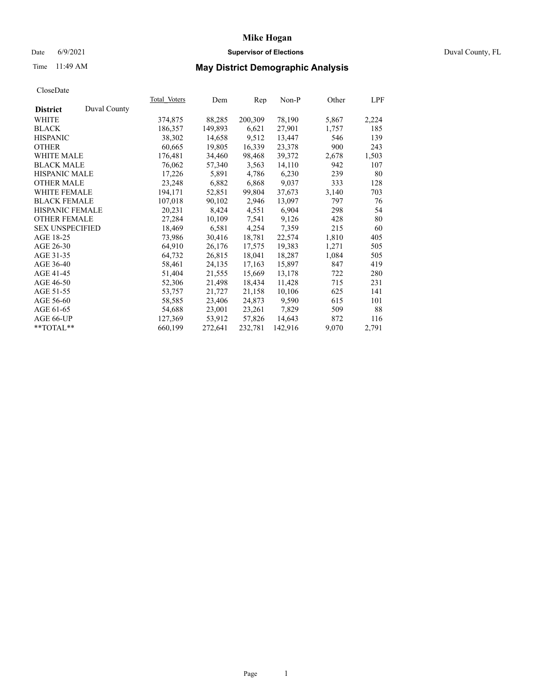## Date 6/9/2021 **Supervisor of Elections** Duval County, FL

# Time 11:49 AM **May District Demographic Analysis**

|                        |              | Total Voters | Dem     | Rep     | Non-P   | Other | LPF   |
|------------------------|--------------|--------------|---------|---------|---------|-------|-------|
| <b>District</b>        | Duval County |              |         |         |         |       |       |
| WHITE                  |              | 374,875      | 88,285  | 200,309 | 78,190  | 5,867 | 2,224 |
| <b>BLACK</b>           |              | 186,357      | 149,893 | 6,621   | 27,901  | 1,757 | 185   |
| <b>HISPANIC</b>        |              | 38,302       | 14,658  | 9,512   | 13,447  | 546   | 139   |
| <b>OTHER</b>           |              | 60,665       | 19,805  | 16,339  | 23,378  | 900   | 243   |
| WHITE MALE             |              | 176,481      | 34,460  | 98,468  | 39,372  | 2,678 | 1,503 |
| <b>BLACK MALE</b>      |              | 76,062       | 57,340  | 3,563   | 14,110  | 942   | 107   |
| <b>HISPANIC MALE</b>   |              | 17,226       | 5,891   | 4,786   | 6,230   | 239   | 80    |
| <b>OTHER MALE</b>      |              | 23,248       | 6,882   | 6,868   | 9,037   | 333   | 128   |
| <b>WHITE FEMALE</b>    |              | 194,171      | 52,851  | 99,804  | 37,673  | 3,140 | 703   |
| <b>BLACK FEMALE</b>    |              | 107,018      | 90,102  | 2,946   | 13,097  | 797   | 76    |
| <b>HISPANIC FEMALE</b> |              | 20,231       | 8,424   | 4,551   | 6,904   | 298   | 54    |
| <b>OTHER FEMALE</b>    |              | 27,284       | 10,109  | 7,541   | 9,126   | 428   | 80    |
| <b>SEX UNSPECIFIED</b> |              | 18,469       | 6,581   | 4,254   | 7,359   | 215   | 60    |
| AGE 18-25              |              | 73,986       | 30,416  | 18,781  | 22,574  | 1,810 | 405   |
| AGE 26-30              |              | 64,910       | 26,176  | 17,575  | 19,383  | 1,271 | 505   |
| AGE 31-35              |              | 64,732       | 26,815  | 18,041  | 18,287  | 1,084 | 505   |
| AGE 36-40              |              | 58,461       | 24,135  | 17,163  | 15,897  | 847   | 419   |
| AGE 41-45              |              | 51,404       | 21,555  | 15,669  | 13,178  | 722   | 280   |
| AGE 46-50              |              | 52,306       | 21,498  | 18,434  | 11,428  | 715   | 231   |
| AGE 51-55              |              | 53,757       | 21,727  | 21,158  | 10,106  | 625   | 141   |
| AGE 56-60              |              | 58,585       | 23,406  | 24,873  | 9,590   | 615   | 101   |
| AGE 61-65              |              | 54,688       | 23,001  | 23,261  | 7,829   | 509   | 88    |
| AGE 66-UP              |              | 127,369      | 53,912  | 57,826  | 14,643  | 872   | 116   |
| $*$ TOTAL $*$          |              | 660,199      | 272,641 | 232,781 | 142,916 | 9,070 | 2,791 |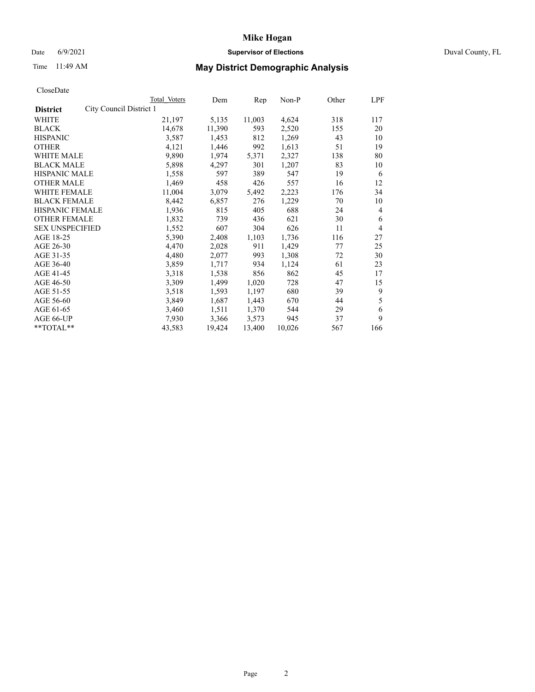### Date 6/9/2021 **Supervisor of Elections Supervisor of Elections** Duval County, FL

# Time 11:49 AM **May District Demographic Analysis**

|                                            | Total Voters | Dem    | Rep    | Non-P  | Other | LPF |
|--------------------------------------------|--------------|--------|--------|--------|-------|-----|
| City Council District 1<br><b>District</b> |              |        |        |        |       |     |
| WHITE                                      | 21,197       | 5,135  | 11,003 | 4,624  | 318   | 117 |
| <b>BLACK</b>                               | 14,678       | 11,390 | 593    | 2,520  | 155   | 20  |
| <b>HISPANIC</b>                            | 3,587        | 1,453  | 812    | 1,269  | 43    | 10  |
| <b>OTHER</b>                               | 4,121        | 1,446  | 992    | 1,613  | 51    | 19  |
| WHITE MALE                                 | 9,890        | 1,974  | 5,371  | 2,327  | 138   | 80  |
| <b>BLACK MALE</b>                          | 5,898        | 4,297  | 301    | 1,207  | 83    | 10  |
| <b>HISPANIC MALE</b>                       | 1,558        | 597    | 389    | 547    | 19    | 6   |
| <b>OTHER MALE</b>                          | 1,469        | 458    | 426    | 557    | 16    | 12  |
| WHITE FEMALE                               | 11,004       | 3,079  | 5,492  | 2,223  | 176   | 34  |
| <b>BLACK FEMALE</b>                        | 8,442        | 6,857  | 276    | 1,229  | 70    | 10  |
| HISPANIC FEMALE                            | 1,936        | 815    | 405    | 688    | 24    | 4   |
| <b>OTHER FEMALE</b>                        | 1,832        | 739    | 436    | 621    | 30    | 6   |
| <b>SEX UNSPECIFIED</b>                     | 1,552        | 607    | 304    | 626    | 11    | 4   |
| AGE 18-25                                  | 5,390        | 2,408  | 1,103  | 1,736  | 116   | 27  |
| AGE 26-30                                  | 4,470        | 2,028  | 911    | 1,429  | 77    | 25  |
| AGE 31-35                                  | 4,480        | 2,077  | 993    | 1,308  | 72    | 30  |
| AGE 36-40                                  | 3,859        | 1,717  | 934    | 1,124  | 61    | 23  |
| AGE 41-45                                  | 3,318        | 1,538  | 856    | 862    | 45    | 17  |
| AGE 46-50                                  | 3,309        | 1,499  | 1,020  | 728    | 47    | 15  |
| AGE 51-55                                  | 3,518        | 1,593  | 1,197  | 680    | 39    | 9   |
| AGE 56-60                                  | 3,849        | 1,687  | 1,443  | 670    | 44    | 5   |
| AGE 61-65                                  | 3,460        | 1,511  | 1,370  | 544    | 29    | 6   |
| AGE 66-UP                                  | 7,930        | 3,366  | 3,573  | 945    | 37    | 9   |
| **TOTAL**                                  | 43,583       | 19,424 | 13,400 | 10,026 | 567   | 166 |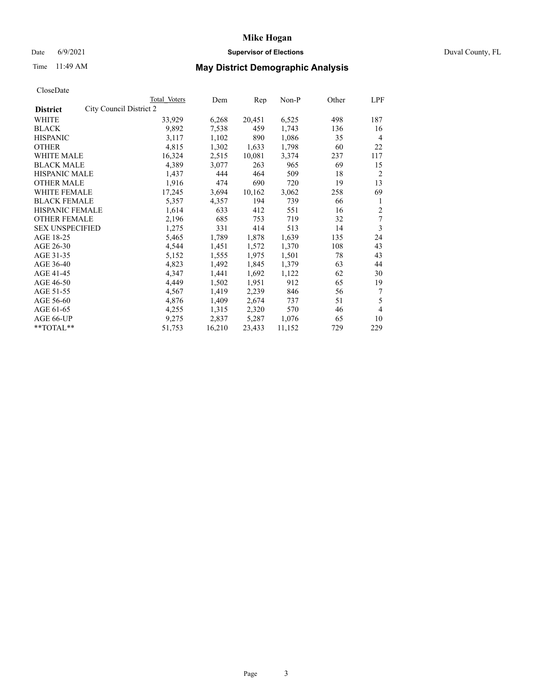## Date 6/9/2021 **Supervisor of Elections** Duval County, FL

# Time 11:49 AM **May District Demographic Analysis**

|                                            | Total Voters | Dem    | Rep    | Non-P  | Other | LPF            |
|--------------------------------------------|--------------|--------|--------|--------|-------|----------------|
| City Council District 2<br><b>District</b> |              |        |        |        |       |                |
| WHITE                                      | 33,929       | 6,268  | 20,451 | 6,525  | 498   | 187            |
| <b>BLACK</b>                               | 9,892        | 7,538  | 459    | 1,743  | 136   | 16             |
| <b>HISPANIC</b>                            | 3,117        | 1,102  | 890    | 1,086  | 35    | 4              |
| <b>OTHER</b>                               | 4,815        | 1,302  | 1,633  | 1,798  | 60    | 22             |
| WHITE MALE                                 | 16,324       | 2,515  | 10,081 | 3,374  | 237   | 117            |
| <b>BLACK MALE</b>                          | 4,389        | 3,077  | 263    | 965    | 69    | 15             |
| <b>HISPANIC MALE</b>                       | 1,437        | 444    | 464    | 509    | 18    | $\overline{2}$ |
| <b>OTHER MALE</b>                          | 1,916        | 474    | 690    | 720    | 19    | 13             |
| WHITE FEMALE                               | 17,245       | 3,694  | 10,162 | 3,062  | 258   | 69             |
| <b>BLACK FEMALE</b>                        | 5,357        | 4,357  | 194    | 739    | 66    | 1              |
| HISPANIC FEMALE                            | 1,614        | 633    | 412    | 551    | 16    | $\overline{2}$ |
| <b>OTHER FEMALE</b>                        | 2,196        | 685    | 753    | 719    | 32    | 7              |
| <b>SEX UNSPECIFIED</b>                     | 1,275        | 331    | 414    | 513    | 14    | 3              |
| AGE 18-25                                  | 5,465        | 1,789  | 1,878  | 1,639  | 135   | 24             |
| AGE 26-30                                  | 4,544        | 1,451  | 1,572  | 1,370  | 108   | 43             |
| AGE 31-35                                  | 5,152        | 1,555  | 1,975  | 1,501  | 78    | 43             |
| AGE 36-40                                  | 4,823        | 1,492  | 1,845  | 1,379  | 63    | 44             |
| AGE 41-45                                  | 4,347        | 1,441  | 1,692  | 1,122  | 62    | 30             |
| AGE 46-50                                  | 4,449        | 1,502  | 1,951  | 912    | 65    | 19             |
| AGE 51-55                                  | 4,567        | 1,419  | 2,239  | 846    | 56    | 7              |
| AGE 56-60                                  | 4,876        | 1,409  | 2,674  | 737    | 51    | 5              |
| AGE 61-65                                  | 4,255        | 1,315  | 2,320  | 570    | 46    | 4              |
| AGE 66-UP                                  | 9,275        | 2,837  | 5,287  | 1,076  | 65    | 10             |
| **TOTAL**                                  | 51,753       | 16,210 | 23,433 | 11,152 | 729   | 229            |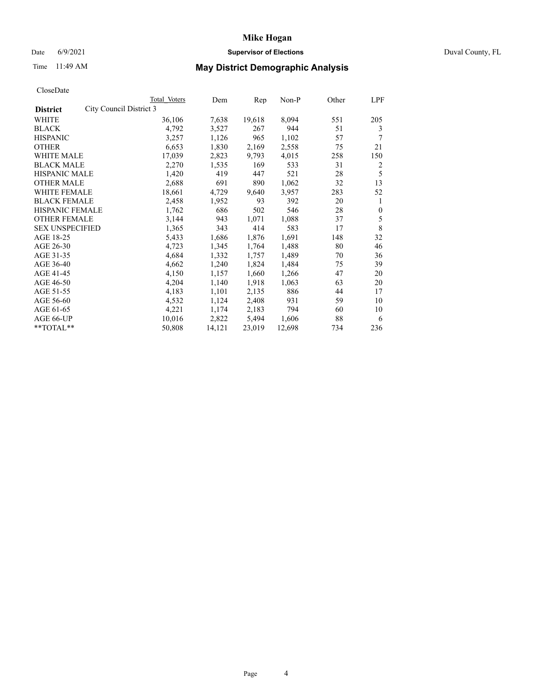### Date 6/9/2021 **Supervisor of Elections Supervisor of Elections** Duval County, FL

# Time 11:49 AM **May District Demographic Analysis**

|                                            | Total Voters | Dem    | Rep    | $Non-P$ | Other | LPF          |
|--------------------------------------------|--------------|--------|--------|---------|-------|--------------|
| City Council District 3<br><b>District</b> |              |        |        |         |       |              |
| WHITE                                      | 36,106       | 7,638  | 19,618 | 8,094   | 551   | 205          |
| <b>BLACK</b>                               | 4,792        | 3,527  | 267    | 944     | 51    | 3            |
| <b>HISPANIC</b>                            | 3,257        | 1,126  | 965    | 1,102   | 57    | 7            |
| <b>OTHER</b>                               | 6,653        | 1,830  | 2,169  | 2,558   | 75    | 21           |
| <b>WHITE MALE</b>                          | 17,039       | 2,823  | 9,793  | 4,015   | 258   | 150          |
| <b>BLACK MALE</b>                          | 2,270        | 1,535  | 169    | 533     | 31    | 2            |
| <b>HISPANIC MALE</b>                       | 1,420        | 419    | 447    | 521     | 28    | 5            |
| <b>OTHER MALE</b>                          | 2,688        | 691    | 890    | 1,062   | 32    | 13           |
| <b>WHITE FEMALE</b>                        | 18,661       | 4,729  | 9,640  | 3,957   | 283   | 52           |
| <b>BLACK FEMALE</b>                        | 2,458        | 1,952  | 93     | 392     | 20    | 1            |
| HISPANIC FEMALE                            | 1,762        | 686    | 502    | 546     | 28    | $\mathbf{0}$ |
| <b>OTHER FEMALE</b>                        | 3,144        | 943    | 1,071  | 1,088   | 37    | 5            |
| <b>SEX UNSPECIFIED</b>                     | 1,365        | 343    | 414    | 583     | 17    | 8            |
| AGE 18-25                                  | 5,433        | 1,686  | 1,876  | 1,691   | 148   | 32           |
| AGE 26-30                                  | 4,723        | 1,345  | 1,764  | 1,488   | 80    | 46           |
| AGE 31-35                                  | 4,684        | 1,332  | 1,757  | 1,489   | 70    | 36           |
| AGE 36-40                                  | 4,662        | 1,240  | 1,824  | 1,484   | 75    | 39           |
| AGE 41-45                                  | 4,150        | 1,157  | 1,660  | 1,266   | 47    | 20           |
| AGE 46-50                                  | 4,204        | 1,140  | 1,918  | 1,063   | 63    | 20           |
| AGE 51-55                                  | 4,183        | 1,101  | 2,135  | 886     | 44    | 17           |
| AGE 56-60                                  | 4,532        | 1,124  | 2,408  | 931     | 59    | 10           |
| AGE 61-65                                  | 4,221        | 1,174  | 2,183  | 794     | 60    | 10           |
| AGE 66-UP                                  | 10,016       | 2,822  | 5,494  | 1,606   | 88    | 6            |
| $*$ $TOTAL**$                              | 50,808       | 14,121 | 23,019 | 12,698  | 734   | 236          |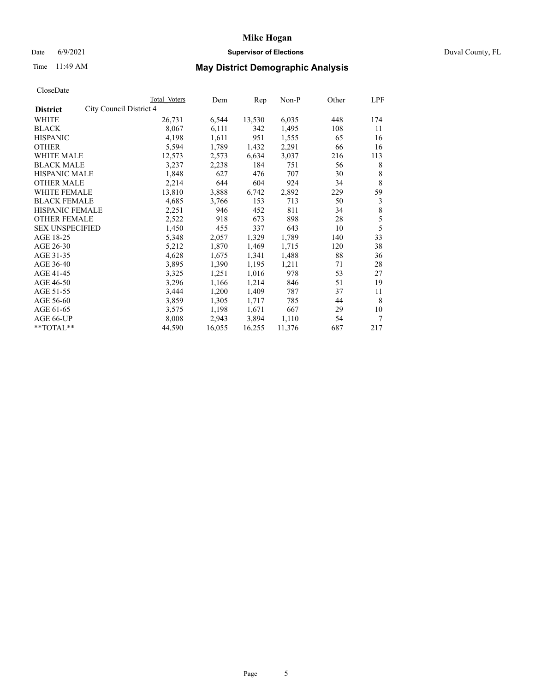# Date 6/9/2021 **Supervisor of Elections** Duval County, FL

# Time 11:49 AM **May District Demographic Analysis**

|                                            | Total Voters | Dem    | Rep    | Non-P  | Other | LPF |
|--------------------------------------------|--------------|--------|--------|--------|-------|-----|
| City Council District 4<br><b>District</b> |              |        |        |        |       |     |
| WHITE                                      | 26,731       | 6,544  | 13,530 | 6,035  | 448   | 174 |
| <b>BLACK</b>                               | 8,067        | 6,111  | 342    | 1,495  | 108   | 11  |
| <b>HISPANIC</b>                            | 4,198        | 1,611  | 951    | 1,555  | 65    | 16  |
| <b>OTHER</b>                               | 5,594        | 1,789  | 1,432  | 2,291  | 66    | 16  |
| WHITE MALE                                 | 12,573       | 2,573  | 6,634  | 3,037  | 216   | 113 |
| <b>BLACK MALE</b>                          | 3,237        | 2,238  | 184    | 751    | 56    | 8   |
| <b>HISPANIC MALE</b>                       | 1,848        | 627    | 476    | 707    | 30    | 8   |
| <b>OTHER MALE</b>                          | 2,214        | 644    | 604    | 924    | 34    | 8   |
| WHITE FEMALE                               | 13,810       | 3,888  | 6,742  | 2,892  | 229   | 59  |
| <b>BLACK FEMALE</b>                        | 4,685        | 3,766  | 153    | 713    | 50    | 3   |
| <b>HISPANIC FEMALE</b>                     | 2,251        | 946    | 452    | 811    | 34    | 8   |
| <b>OTHER FEMALE</b>                        | 2,522        | 918    | 673    | 898    | 28    | 5   |
| <b>SEX UNSPECIFIED</b>                     | 1,450        | 455    | 337    | 643    | 10    | 5   |
| AGE 18-25                                  | 5,348        | 2,057  | 1,329  | 1,789  | 140   | 33  |
| AGE 26-30                                  | 5,212        | 1,870  | 1,469  | 1,715  | 120   | 38  |
| AGE 31-35                                  | 4,628        | 1,675  | 1,341  | 1,488  | 88    | 36  |
| AGE 36-40                                  | 3,895        | 1,390  | 1,195  | 1,211  | 71    | 28  |
| AGE 41-45                                  | 3,325        | 1,251  | 1,016  | 978    | 53    | 27  |
| AGE 46-50                                  | 3,296        | 1,166  | 1,214  | 846    | 51    | 19  |
| AGE 51-55                                  | 3,444        | 1,200  | 1,409  | 787    | 37    | 11  |
| AGE 56-60                                  | 3,859        | 1,305  | 1,717  | 785    | 44    | 8   |
| AGE 61-65                                  | 3,575        | 1,198  | 1,671  | 667    | 29    | 10  |
| AGE 66-UP                                  | 8,008        | 2,943  | 3,894  | 1,110  | 54    | 7   |
| **TOTAL**                                  | 44,590       | 16,055 | 16,255 | 11,376 | 687   | 217 |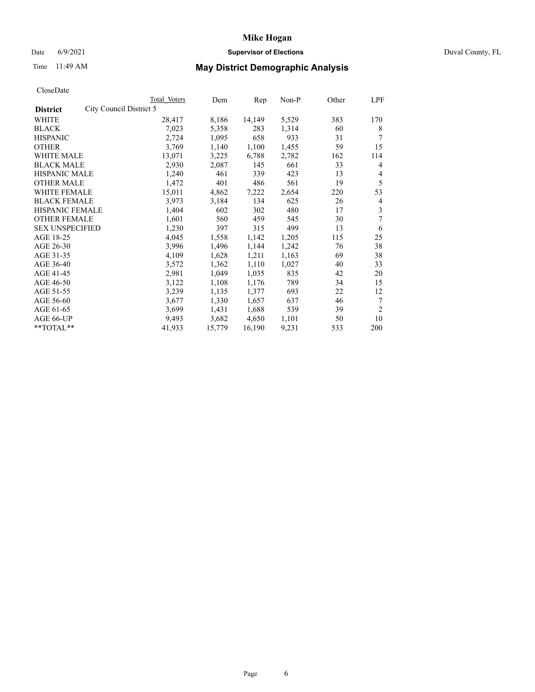## Date 6/9/2021 **Supervisor of Elections** Duval County, FL

# Time 11:49 AM **May District Demographic Analysis**

|                                            | Total Voters | Dem    | Rep    | Non-P | Other | LPF            |
|--------------------------------------------|--------------|--------|--------|-------|-------|----------------|
| City Council District 5<br><b>District</b> |              |        |        |       |       |                |
| WHITE                                      | 28,417       | 8,186  | 14,149 | 5,529 | 383   | 170            |
| <b>BLACK</b>                               | 7,023        | 5,358  | 283    | 1,314 | 60    | 8              |
| <b>HISPANIC</b>                            | 2,724        | 1,095  | 658    | 933   | 31    |                |
| <b>OTHER</b>                               | 3,769        | 1,140  | 1,100  | 1,455 | 59    | 15             |
| WHITE MALE                                 | 13,071       | 3,225  | 6,788  | 2,782 | 162   | 114            |
| <b>BLACK MALE</b>                          | 2,930        | 2,087  | 145    | 661   | 33    | 4              |
| <b>HISPANIC MALE</b>                       | 1,240        | 461    | 339    | 423   | 13    | 4              |
| <b>OTHER MALE</b>                          | 1,472        | 401    | 486    | 561   | 19    | 5              |
| WHITE FEMALE                               | 15,011       | 4,862  | 7,222  | 2,654 | 220   | 53             |
| <b>BLACK FEMALE</b>                        | 3,973        | 3,184  | 134    | 625   | 26    | 4              |
| <b>HISPANIC FEMALE</b>                     | 1,404        | 602    | 302    | 480   | 17    | 3              |
| <b>OTHER FEMALE</b>                        | 1,601        | 560    | 459    | 545   | 30    | 7              |
| <b>SEX UNSPECIFIED</b>                     | 1,230        | 397    | 315    | 499   | 13    | 6              |
| AGE 18-25                                  | 4,045        | 1,558  | 1,142  | 1,205 | 115   | 25             |
| AGE 26-30                                  | 3,996        | 1,496  | 1,144  | 1,242 | 76    | 38             |
| AGE 31-35                                  | 4,109        | 1,628  | 1,211  | 1,163 | 69    | 38             |
| AGE 36-40                                  | 3,572        | 1,362  | 1,110  | 1,027 | 40    | 33             |
| AGE 41-45                                  | 2,981        | 1,049  | 1,035  | 835   | 42    | 20             |
| AGE 46-50                                  | 3,122        | 1,108  | 1,176  | 789   | 34    | 15             |
| AGE 51-55                                  | 3,239        | 1,135  | 1,377  | 693   | 22    | 12             |
| AGE 56-60                                  | 3,677        | 1,330  | 1,657  | 637   | 46    | 7              |
| AGE 61-65                                  | 3,699        | 1,431  | 1,688  | 539   | 39    | $\overline{2}$ |
| AGE 66-UP                                  | 9,493        | 3,682  | 4,650  | 1,101 | 50    | 10             |
| **TOTAL**                                  | 41,933       | 15,779 | 16,190 | 9,231 | 533   | 200            |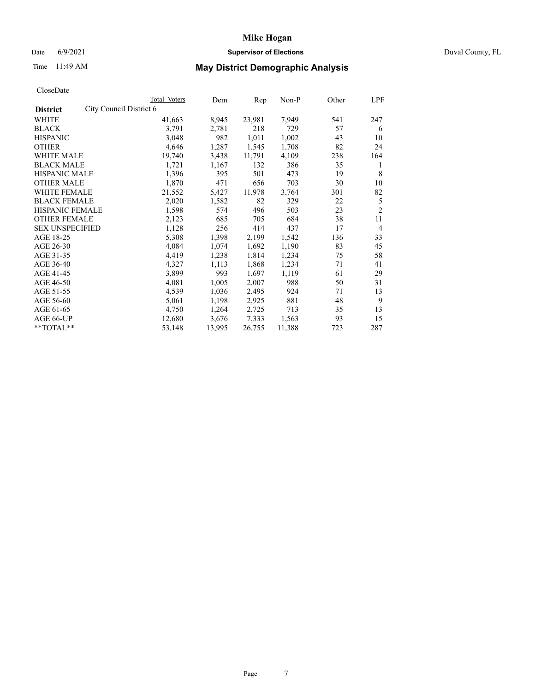## Date 6/9/2021 **Supervisor of Elections** Duval County, FL

# Time 11:49 AM **May District Demographic Analysis**

|                                            | Total Voters | Dem    | Rep    | Non-P  | Other | LPF            |
|--------------------------------------------|--------------|--------|--------|--------|-------|----------------|
| City Council District 6<br><b>District</b> |              |        |        |        |       |                |
| WHITE                                      | 41,663       | 8,945  | 23,981 | 7,949  | 541   | 247            |
| <b>BLACK</b>                               | 3,791        | 2,781  | 218    | 729    | 57    | 6              |
| <b>HISPANIC</b>                            | 3,048        | 982    | 1,011  | 1,002  | 43    | 10             |
| <b>OTHER</b>                               | 4,646        | 1,287  | 1,545  | 1,708  | 82    | 24             |
| WHITE MALE                                 | 19,740       | 3,438  | 11,791 | 4,109  | 238   | 164            |
| <b>BLACK MALE</b>                          | 1,721        | 1,167  | 132    | 386    | 35    | 1              |
| <b>HISPANIC MALE</b>                       | 1,396        | 395    | 501    | 473    | 19    | 8              |
| <b>OTHER MALE</b>                          | 1,870        | 471    | 656    | 703    | 30    | 10             |
| WHITE FEMALE                               | 21,552       | 5,427  | 11,978 | 3,764  | 301   | 82             |
| <b>BLACK FEMALE</b>                        | 2,020        | 1,582  | 82     | 329    | 22    | 5              |
| <b>HISPANIC FEMALE</b>                     | 1,598        | 574    | 496    | 503    | 23    | $\overline{2}$ |
| <b>OTHER FEMALE</b>                        | 2,123        | 685    | 705    | 684    | 38    | 11             |
| <b>SEX UNSPECIFIED</b>                     | 1,128        | 256    | 414    | 437    | 17    | $\overline{4}$ |
| AGE 18-25                                  | 5,308        | 1,398  | 2,199  | 1,542  | 136   | 33             |
| AGE 26-30                                  | 4,084        | 1,074  | 1,692  | 1,190  | 83    | 45             |
| AGE 31-35                                  | 4,419        | 1,238  | 1,814  | 1,234  | 75    | 58             |
| AGE 36-40                                  | 4,327        | 1,113  | 1,868  | 1,234  | 71    | 41             |
| AGE 41-45                                  | 3,899        | 993    | 1,697  | 1,119  | 61    | 29             |
| AGE 46-50                                  | 4,081        | 1,005  | 2,007  | 988    | 50    | 31             |
| AGE 51-55                                  | 4,539        | 1,036  | 2,495  | 924    | 71    | 13             |
| AGE 56-60                                  | 5,061        | 1,198  | 2,925  | 881    | 48    | 9              |
| AGE 61-65                                  | 4,750        | 1,264  | 2,725  | 713    | 35    | 13             |
| AGE 66-UP                                  | 12,680       | 3,676  | 7,333  | 1,563  | 93    | 15             |
| **TOTAL**                                  | 53,148       | 13,995 | 26,755 | 11,388 | 723   | 287            |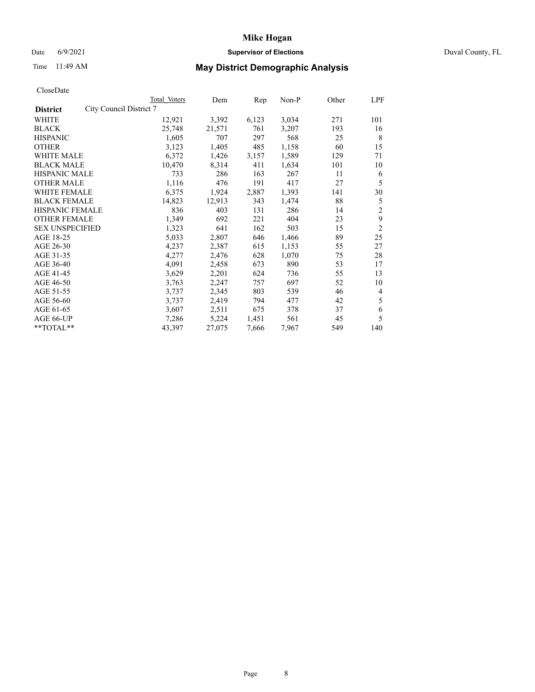### Date 6/9/2021 **Supervisor of Elections Supervisor of Elections** Duval County, FL

# Time 11:49 AM **May District Demographic Analysis**

| <b>Total Voters</b> | Dem                                               |       | $Non-P$ | Other | LPF            |
|---------------------|---------------------------------------------------|-------|---------|-------|----------------|
|                     |                                                   |       |         |       |                |
| 12,921              | 3,392                                             | 6,123 | 3,034   | 271   | 101            |
| 25,748              | 21,571                                            | 761   | 3,207   | 193   | 16             |
| 1,605               | 707                                               | 297   | 568     | 25    | 8              |
| 3,123               | 1,405                                             | 485   | 1,158   | 60    | 15             |
| 6,372               | 1,426                                             | 3,157 | 1,589   | 129   | 71             |
| 10,470              | 8,314                                             | 411   | 1,634   | 101   | 10             |
| 733                 | 286                                               | 163   | 267     | 11    | 6              |
| 1,116               | 476                                               | 191   | 417     | 27    | 5              |
| 6,375               | 1,924                                             | 2,887 | 1,393   | 141   | 30             |
| 14,823              | 12,913                                            | 343   | 1,474   | 88    | 5              |
| 836                 | 403                                               | 131   | 286     | 14    | $\overline{2}$ |
| 1,349               | 692                                               | 221   | 404     | 23    | 9              |
| 1,323               | 641                                               | 162   | 503     | 15    | $\overline{2}$ |
| 5,033               | 2,807                                             | 646   | 1,466   | 89    | 25             |
| 4,237               | 2,387                                             | 615   | 1,153   | 55    | 27             |
| 4,277               | 2,476                                             | 628   | 1,070   | 75    | 28             |
| 4,091               | 2,458                                             | 673   | 890     | 53    | 17             |
| 3,629               | 2,201                                             | 624   | 736     | 55    | 13             |
| 3,763               | 2,247                                             | 757   | 697     | 52    | 10             |
| 3,737               | 2,345                                             | 803   | 539     | 46    | 4              |
| 3,737               | 2,419                                             | 794   | 477     | 42    | 5              |
| 3,607               | 2,511                                             | 675   | 378     | 37    | 6              |
| 7,286               | 5,224                                             | 1,451 | 561     | 45    | 5              |
| 43,397              | 27,075                                            | 7,666 | 7,967   | 549   | 140            |
|                     | City Council District 7<br><b>HISPANIC FEMALE</b> |       |         | Rep   |                |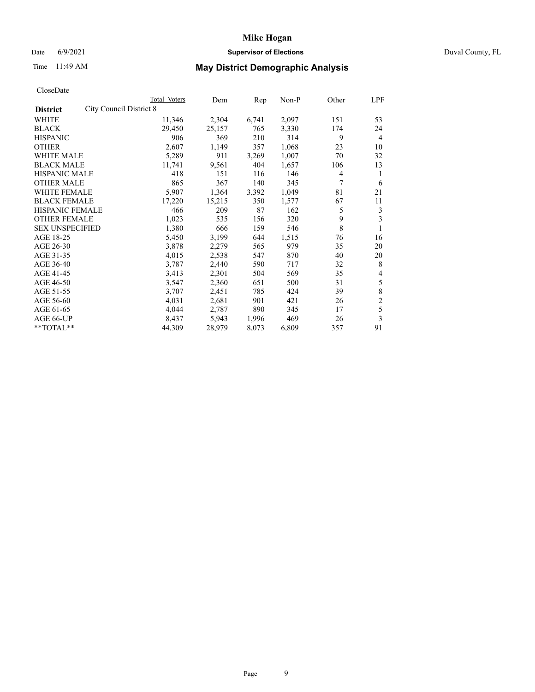# Date 6/9/2021 **Supervisor of Elections** Duval County, FL

| CloseDate |  |
|-----------|--|
|-----------|--|

|                                                   | Total Voters | Dem    | Rep   | Non-P | Other | LPF            |
|---------------------------------------------------|--------------|--------|-------|-------|-------|----------------|
| <b>City Council District 8</b><br><b>District</b> |              |        |       |       |       |                |
| WHITE                                             | 11,346       | 2,304  | 6,741 | 2,097 | 151   | 53             |
| BLACK                                             | 29,450       | 25,157 | 765   | 3,330 | 174   | 24             |
| <b>HISPANIC</b>                                   | 906          | 369    | 210   | 314   | 9     | $\overline{4}$ |
| <b>OTHER</b>                                      | 2,607        | 1,149  | 357   | 1,068 | 23    | 10             |
| <b>WHITE MALE</b>                                 | 5,289        | 911    | 3,269 | 1,007 | 70    | 32             |
| <b>BLACK MALE</b>                                 | 11,741       | 9,561  | 404   | 1,657 | 106   | 13             |
| <b>HISPANIC MALE</b>                              | 418          | 151    | 116   | 146   | 4     | 1              |
| <b>OTHER MALE</b>                                 | 865          | 367    | 140   | 345   | 7     | 6              |
| <b>WHITE FEMALE</b>                               | 5,907        | 1,364  | 3,392 | 1,049 | 81    | 21             |
| <b>BLACK FEMALE</b>                               | 17,220       | 15,215 | 350   | 1,577 | 67    | 11             |
| <b>HISPANIC FEMALE</b>                            | 466          | 209    | 87    | 162   | 5     | 3              |
| <b>OTHER FEMALE</b>                               | 1,023        | 535    | 156   | 320   | 9     | 3              |
| <b>SEX UNSPECIFIED</b>                            | 1,380        | 666    | 159   | 546   | 8     | 1              |
| AGE 18-25                                         | 5,450        | 3,199  | 644   | 1,515 | 76    | 16             |
| AGE 26-30                                         | 3,878        | 2,279  | 565   | 979   | 35    | 20             |
| AGE 31-35                                         | 4,015        | 2,538  | 547   | 870   | 40    | 20             |
| AGE 36-40                                         | 3,787        | 2,440  | 590   | 717   | 32    | 8              |
| AGE 41-45                                         | 3,413        | 2,301  | 504   | 569   | 35    | 4              |
| AGE 46-50                                         | 3,547        | 2,360  | 651   | 500   | 31    | 5              |
| AGE 51-55                                         | 3,707        | 2,451  | 785   | 424   | 39    | 8              |
| AGE 56-60                                         | 4,031        | 2,681  | 901   | 421   | 26    | $\overline{c}$ |
| AGE 61-65                                         | 4,044        | 2,787  | 890   | 345   | 17    | 5              |
| AGE 66-UP                                         | 8,437        | 5,943  | 1,996 | 469   | 26    | 3              |
| $*$ $TOTAL**$                                     | 44,309       | 28,979 | 8,073 | 6,809 | 357   | 91             |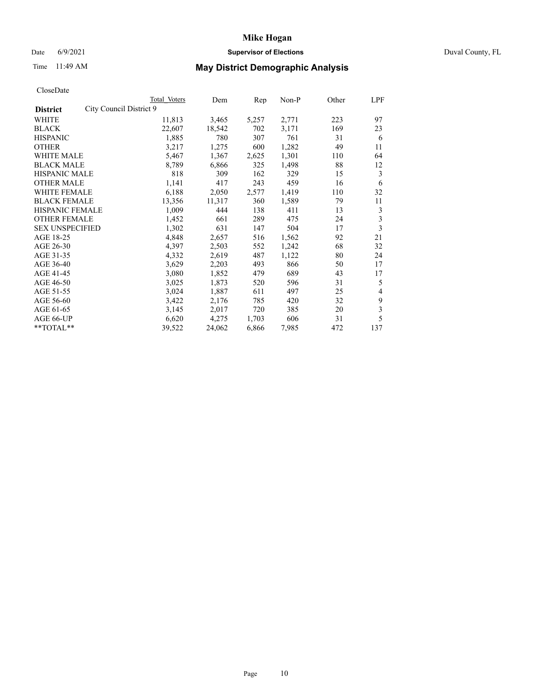### Date 6/9/2021 **Supervisor of Elections Supervisor of Elections** Duval County, FL

# Time 11:49 AM **May District Demographic Analysis**

|                                            | Total Voters | Dem    | Rep   | Non-P | Other | LPF                     |
|--------------------------------------------|--------------|--------|-------|-------|-------|-------------------------|
| City Council District 9<br><b>District</b> |              |        |       |       |       |                         |
| WHITE                                      | 11,813       | 3,465  | 5,257 | 2,771 | 223   | 97                      |
| <b>BLACK</b>                               | 22,607       | 18,542 | 702   | 3,171 | 169   | 23                      |
| <b>HISPANIC</b>                            | 1,885        | 780    | 307   | 761   | 31    | 6                       |
| <b>OTHER</b>                               | 3,217        | 1,275  | 600   | 1,282 | 49    | 11                      |
| WHITE MALE                                 | 5,467        | 1,367  | 2,625 | 1,301 | 110   | 64                      |
| <b>BLACK MALE</b>                          | 8,789        | 6,866  | 325   | 1,498 | 88    | 12                      |
| <b>HISPANIC MALE</b>                       | 818          | 309    | 162   | 329   | 15    | 3                       |
| <b>OTHER MALE</b>                          | 1,141        | 417    | 243   | 459   | 16    | 6                       |
| <b>WHITE FEMALE</b>                        | 6,188        | 2,050  | 2,577 | 1,419 | 110   | 32                      |
| <b>BLACK FEMALE</b>                        | 13,356       | 11,317 | 360   | 1,589 | 79    | 11                      |
| <b>HISPANIC FEMALE</b>                     | 1,009        | 444    | 138   | 411   | 13    | 3                       |
| <b>OTHER FEMALE</b>                        | 1,452        | 661    | 289   | 475   | 24    | 3                       |
| <b>SEX UNSPECIFIED</b>                     | 1,302        | 631    | 147   | 504   | 17    | $\overline{\mathbf{3}}$ |
| AGE 18-25                                  | 4,848        | 2,657  | 516   | 1,562 | 92    | 21                      |
| AGE 26-30                                  | 4,397        | 2,503  | 552   | 1,242 | 68    | 32                      |
| AGE 31-35                                  | 4,332        | 2,619  | 487   | 1,122 | 80    | 24                      |
| AGE 36-40                                  | 3,629        | 2,203  | 493   | 866   | 50    | 17                      |
| AGE 41-45                                  | 3,080        | 1,852  | 479   | 689   | 43    | 17                      |
| AGE 46-50                                  | 3,025        | 1,873  | 520   | 596   | 31    | 5                       |
| AGE 51-55                                  | 3,024        | 1,887  | 611   | 497   | 25    | 4                       |
| AGE 56-60                                  | 3,422        | 2,176  | 785   | 420   | 32    | 9                       |
| AGE 61-65                                  | 3,145        | 2,017  | 720   | 385   | 20    | 3                       |
| AGE 66-UP                                  | 6,620        | 4,275  | 1,703 | 606   | 31    | 5                       |
| $*$ $TOTAL**$                              | 39,522       | 24,062 | 6,866 | 7,985 | 472   | 137                     |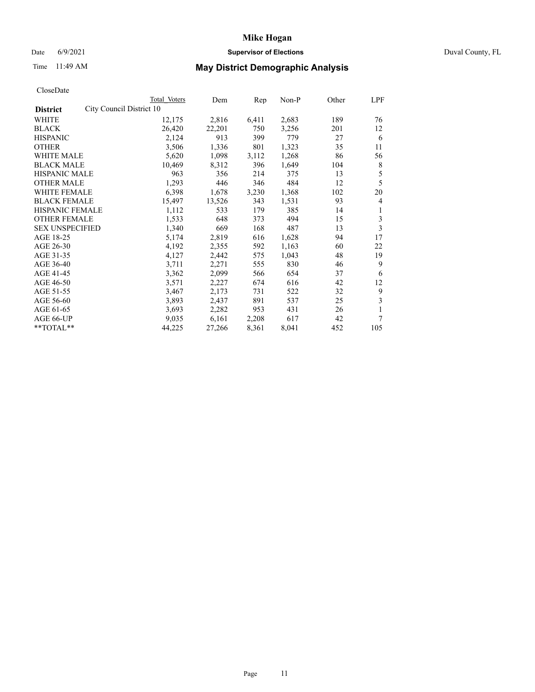### Date 6/9/2021 **Supervisor of Elections Supervisor of Elections** Duval County, FL

# Time 11:49 AM **May District Demographic Analysis**

|                        |                          | Total Voters | Dem    | Rep   | Non-P | Other | LPF |
|------------------------|--------------------------|--------------|--------|-------|-------|-------|-----|
| <b>District</b>        | City Council District 10 |              |        |       |       |       |     |
| WHITE                  |                          | 12,175       | 2,816  | 6,411 | 2,683 | 189   | 76  |
| <b>BLACK</b>           |                          | 26,420       | 22,201 | 750   | 3,256 | 201   | 12  |
| <b>HISPANIC</b>        |                          | 2,124        | 913    | 399   | 779   | 27    | 6   |
| <b>OTHER</b>           |                          | 3,506        | 1,336  | 801   | 1,323 | 35    | 11  |
| WHITE MALE             |                          | 5,620        | 1,098  | 3,112 | 1,268 | 86    | 56  |
| <b>BLACK MALE</b>      |                          | 10,469       | 8,312  | 396   | 1,649 | 104   | 8   |
| <b>HISPANIC MALE</b>   |                          | 963          | 356    | 214   | 375   | 13    | 5   |
| <b>OTHER MALE</b>      |                          | 1,293        | 446    | 346   | 484   | 12    | 5   |
| WHITE FEMALE           |                          | 6,398        | 1,678  | 3,230 | 1,368 | 102   | 20  |
| <b>BLACK FEMALE</b>    |                          | 15,497       | 13,526 | 343   | 1,531 | 93    | 4   |
| HISPANIC FEMALE        |                          | 1,112        | 533    | 179   | 385   | 14    | 1   |
| <b>OTHER FEMALE</b>    |                          | 1,533        | 648    | 373   | 494   | 15    | 3   |
| <b>SEX UNSPECIFIED</b> |                          | 1,340        | 669    | 168   | 487   | 13    | 3   |
| AGE 18-25              |                          | 5,174        | 2,819  | 616   | 1,628 | 94    | 17  |
| AGE 26-30              |                          | 4,192        | 2,355  | 592   | 1,163 | 60    | 22  |
| AGE 31-35              |                          | 4,127        | 2,442  | 575   | 1,043 | 48    | 19  |
| AGE 36-40              |                          | 3,711        | 2,271  | 555   | 830   | 46    | 9   |
| AGE 41-45              |                          | 3,362        | 2,099  | 566   | 654   | 37    | 6   |
| AGE 46-50              |                          | 3,571        | 2,227  | 674   | 616   | 42    | 12  |
| AGE 51-55              |                          | 3,467        | 2,173  | 731   | 522   | 32    | 9   |
| AGE 56-60              |                          | 3,893        | 2,437  | 891   | 537   | 25    | 3   |
| AGE 61-65              |                          | 3,693        | 2,282  | 953   | 431   | 26    | 1   |
| AGE 66-UP              |                          | 9,035        | 6,161  | 2,208 | 617   | 42    | 7   |
| **TOTAL**              |                          | 44,225       | 27,266 | 8,361 | 8,041 | 452   | 105 |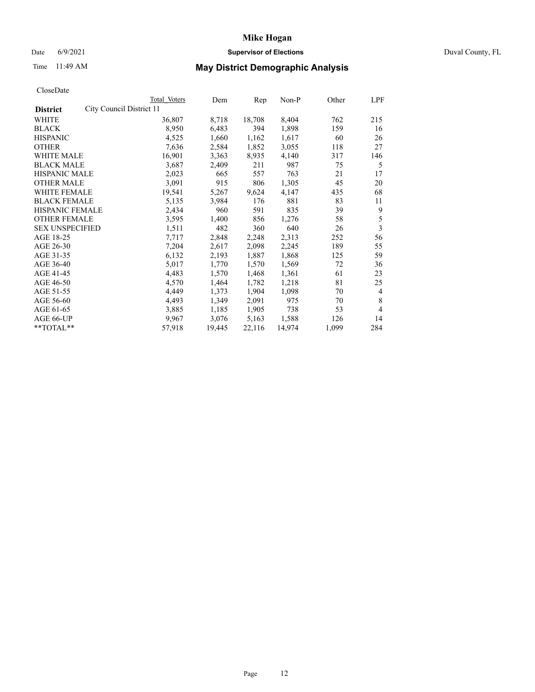### Date 6/9/2021 **Supervisor of Elections Supervisor of Elections** Duval County, FL

# Time 11:49 AM **May District Demographic Analysis**

| Total Voters                                                                                                                           | Dem                      | Rep    | Non-P  | Other | LPF                     |
|----------------------------------------------------------------------------------------------------------------------------------------|--------------------------|--------|--------|-------|-------------------------|
|                                                                                                                                        |                          |        |        |       |                         |
| 36,807                                                                                                                                 | 8,718                    | 18,708 | 8,404  | 762   | 215                     |
| 8,950                                                                                                                                  | 6,483                    | 394    | 1,898  | 159   | 16                      |
| 4,525                                                                                                                                  | 1,660                    | 1,162  | 1,617  | 60    | 26                      |
| 7,636                                                                                                                                  | 2,584                    | 1,852  | 3,055  | 118   | 27                      |
| 16,901                                                                                                                                 | 3,363                    | 8,935  | 4,140  | 317   | 146                     |
| 3,687                                                                                                                                  | 2,409                    | 211    | 987    | 75    | 5                       |
| 2,023                                                                                                                                  | 665                      | 557    | 763    | 21    | 17                      |
| 3,091                                                                                                                                  | 915                      | 806    | 1,305  | 45    | 20                      |
| 19,541                                                                                                                                 | 5,267                    | 9,624  | 4,147  | 435   | 68                      |
| 5,135                                                                                                                                  | 3,984                    | 176    | 881    | 83    | 11                      |
| 2,434                                                                                                                                  | 960                      | 591    | 835    | 39    | 9                       |
| 3,595                                                                                                                                  | 1,400                    | 856    | 1,276  | 58    | 5                       |
| 1,511                                                                                                                                  | 482                      | 360    | 640    | 26    | $\overline{\mathbf{3}}$ |
| 7,717                                                                                                                                  | 2,848                    | 2,248  | 2,313  | 252   | 56                      |
| 7,204                                                                                                                                  | 2,617                    | 2,098  | 2,245  | 189   | 55                      |
| 6,132                                                                                                                                  | 2,193                    | 1,887  | 1,868  | 125   | 59                      |
| 5,017                                                                                                                                  | 1,770                    | 1,570  | 1,569  | 72    | 36                      |
| 4,483                                                                                                                                  | 1,570                    | 1,468  | 1,361  | 61    | 23                      |
| 4,570                                                                                                                                  | 1,464                    | 1,782  | 1,218  | 81    | 25                      |
| 4,449                                                                                                                                  | 1,373                    | 1,904  | 1,098  | 70    | $\overline{4}$          |
| 4,493                                                                                                                                  | 1,349                    | 2,091  | 975    | 70    | 8                       |
| 3,885                                                                                                                                  | 1,185                    | 1,905  | 738    | 53    | $\overline{4}$          |
| 9.967                                                                                                                                  | 3,076                    | 5,163  | 1,588  | 126   | 14                      |
| 57,918                                                                                                                                 | 19,445                   | 22,116 | 14,974 | 1,099 | 284                     |
| <b>HISPANIC MALE</b><br><b>WHITE FEMALE</b><br><b>BLACK FEMALE</b><br>HISPANIC FEMALE<br><b>OTHER FEMALE</b><br><b>SEX UNSPECIFIED</b> | City Council District 11 |        |        |       |                         |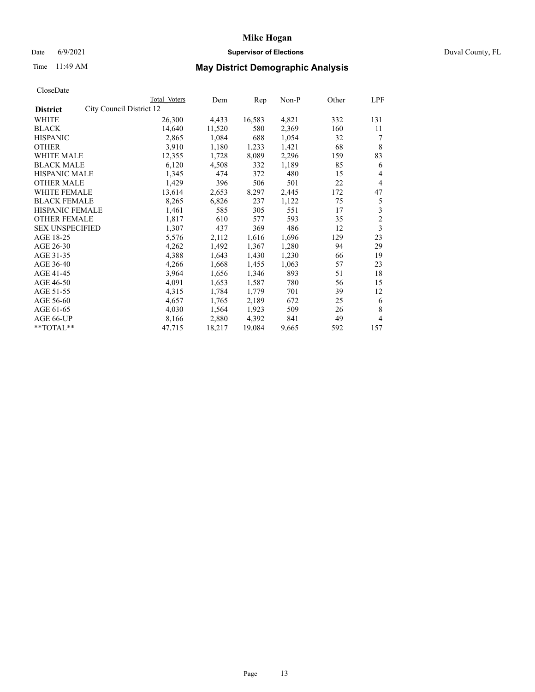### Date 6/9/2021 **Supervisor of Elections Supervisor of Elections** Duval County, FL

# Time 11:49 AM **May District Demographic Analysis**

|                                             | Total Voters | Dem    | Rep    | Non-P | Other | LPF            |
|---------------------------------------------|--------------|--------|--------|-------|-------|----------------|
| City Council District 12<br><b>District</b> |              |        |        |       |       |                |
| WHITE                                       | 26,300       | 4,433  | 16,583 | 4,821 | 332   | 131            |
| <b>BLACK</b>                                | 14,640       | 11,520 | 580    | 2,369 | 160   | 11             |
| <b>HISPANIC</b>                             | 2,865        | 1,084  | 688    | 1,054 | 32    | 7              |
| <b>OTHER</b>                                | 3,910        | 1,180  | 1,233  | 1,421 | 68    | 8              |
| WHITE MALE                                  | 12,355       | 1,728  | 8,089  | 2,296 | 159   | 83             |
| <b>BLACK MALE</b>                           | 6,120        | 4,508  | 332    | 1,189 | 85    | 6              |
| <b>HISPANIC MALE</b>                        | 1,345        | 474    | 372    | 480   | 15    | 4              |
| <b>OTHER MALE</b>                           | 1,429        | 396    | 506    | 501   | 22    | $\overline{4}$ |
| WHITE FEMALE                                | 13,614       | 2,653  | 8,297  | 2,445 | 172   | 47             |
| <b>BLACK FEMALE</b>                         | 8,265        | 6,826  | 237    | 1,122 | 75    | 5              |
| HISPANIC FEMALE                             | 1,461        | 585    | 305    | 551   | 17    | 3              |
| <b>OTHER FEMALE</b>                         | 1,817        | 610    | 577    | 593   | 35    | $\overline{c}$ |
| <b>SEX UNSPECIFIED</b>                      | 1,307        | 437    | 369    | 486   | 12    | 3              |
| AGE 18-25                                   | 5,576        | 2,112  | 1,616  | 1,696 | 129   | 23             |
| AGE 26-30                                   | 4,262        | 1,492  | 1,367  | 1,280 | 94    | 29             |
| AGE 31-35                                   | 4,388        | 1,643  | 1,430  | 1,230 | 66    | 19             |
| AGE 36-40                                   | 4,266        | 1,668  | 1,455  | 1,063 | 57    | 23             |
| AGE 41-45                                   | 3,964        | 1,656  | 1,346  | 893   | 51    | 18             |
| AGE 46-50                                   | 4,091        | 1,653  | 1,587  | 780   | 56    | 15             |
| AGE 51-55                                   | 4,315        | 1,784  | 1,779  | 701   | 39    | 12             |
| AGE 56-60                                   | 4,657        | 1,765  | 2,189  | 672   | 25    | 6              |
| AGE 61-65                                   | 4,030        | 1,564  | 1,923  | 509   | 26    | 8              |
| AGE 66-UP                                   | 8,166        | 2,880  | 4,392  | 841   | 49    | 4              |
| **TOTAL**                                   | 47,715       | 18,217 | 19,084 | 9,665 | 592   | 157            |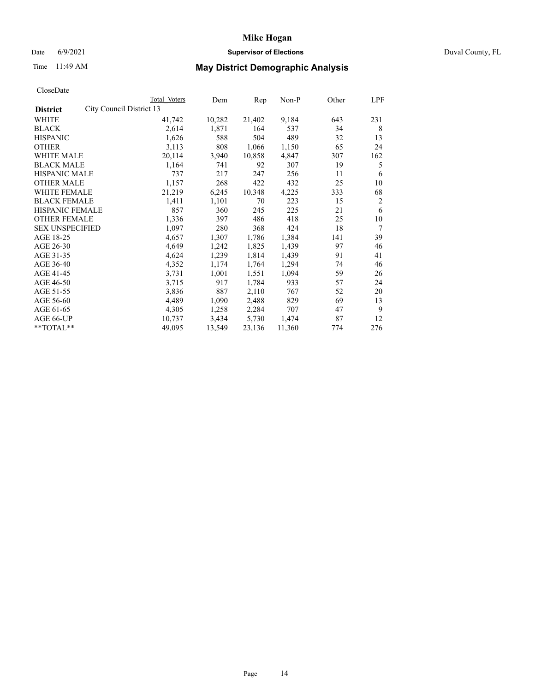## Date 6/9/2021 **Supervisor of Elections** Duval County, FL

# Time 11:49 AM **May District Demographic Analysis**

| Total Voters             | Dem    | Rep    | Non-P  | Other | LPF |
|--------------------------|--------|--------|--------|-------|-----|
| City Council District 13 |        |        |        |       |     |
| 41,742                   | 10,282 | 21,402 | 9,184  | 643   | 231 |
| 2,614                    | 1,871  | 164    | 537    | 34    | 8   |
| 1,626                    | 588    | 504    | 489    | 32    | 13  |
| 3,113                    | 808    | 1,066  | 1,150  | 65    | 24  |
| 20,114                   | 3,940  | 10,858 | 4,847  | 307   | 162 |
| 1,164                    | 741    | 92     | 307    | 19    | 5   |
| 737                      | 217    | 247    | 256    | 11    | 6   |
| 1,157                    | 268    | 422    | 432    | 25    | 10  |
| 21,219                   | 6,245  | 10,348 | 4,225  | 333   | 68  |
| 1,411                    | 1,101  | 70     | 223    | 15    | 2   |
| 857                      | 360    | 245    | 225    | 21    | 6   |
| 1,336                    | 397    | 486    | 418    | 25    | 10  |
| 1,097                    | 280    | 368    | 424    | 18    | 7   |
| 4,657                    | 1,307  | 1,786  | 1,384  | 141   | 39  |
| 4,649                    | 1,242  | 1,825  | 1,439  | 97    | 46  |
| 4,624                    | 1,239  | 1,814  | 1,439  | 91    | 41  |
| 4,352                    | 1,174  | 1,764  | 1,294  | 74    | 46  |
| 3,731                    | 1,001  | 1,551  | 1,094  | 59    | 26  |
| 3,715                    | 917    | 1,784  | 933    | 57    | 24  |
| 3,836                    | 887    | 2,110  | 767    | 52    | 20  |
| 4,489                    | 1,090  | 2,488  | 829    | 69    | 13  |
| 4,305                    | 1,258  | 2,284  | 707    | 47    | 9   |
| 10,737                   | 3,434  | 5,730  | 1,474  | 87    | 12  |
| 49,095                   | 13,549 | 23,136 | 11,360 | 774   | 276 |
|                          |        |        |        |       |     |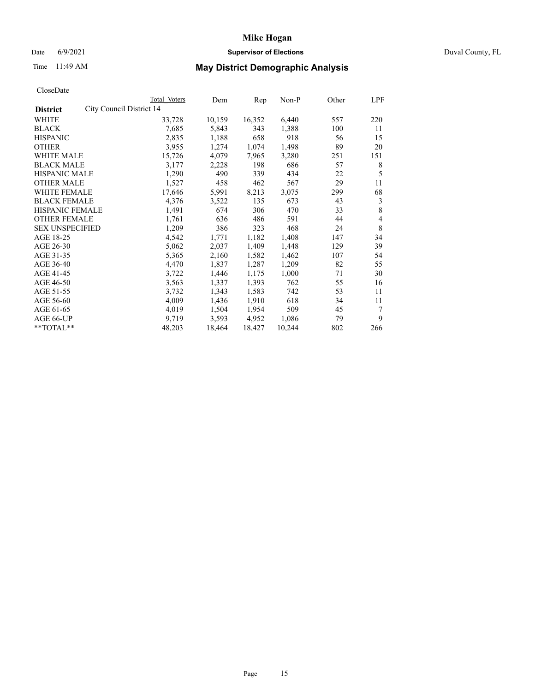## Date 6/9/2021 **Supervisor of Elections** Duval County, FL

# Time 11:49 AM **May District Demographic Analysis**

|                                             | Total Voters | Dem    | Rep    | Non-P  | Other | LPF |
|---------------------------------------------|--------------|--------|--------|--------|-------|-----|
| City Council District 14<br><b>District</b> |              |        |        |        |       |     |
| WHITE                                       | 33,728       | 10,159 | 16,352 | 6,440  | 557   | 220 |
| <b>BLACK</b>                                | 7,685        | 5,843  | 343    | 1,388  | 100   | 11  |
| <b>HISPANIC</b>                             | 2,835        | 1,188  | 658    | 918    | 56    | 15  |
| <b>OTHER</b>                                | 3,955        | 1,274  | 1,074  | 1,498  | 89    | 20  |
| WHITE MALE                                  | 15,726       | 4,079  | 7,965  | 3,280  | 251   | 151 |
| <b>BLACK MALE</b>                           | 3,177        | 2,228  | 198    | 686    | 57    | 8   |
| <b>HISPANIC MALE</b>                        | 1,290        | 490    | 339    | 434    | 22    | 5   |
| <b>OTHER MALE</b>                           | 1,527        | 458    | 462    | 567    | 29    | 11  |
| <b>WHITE FEMALE</b>                         | 17,646       | 5,991  | 8,213  | 3,075  | 299   | 68  |
| <b>BLACK FEMALE</b>                         | 4,376        | 3,522  | 135    | 673    | 43    | 3   |
| <b>HISPANIC FEMALE</b>                      | 1,491        | 674    | 306    | 470    | 33    | 8   |
| <b>OTHER FEMALE</b>                         | 1,761        | 636    | 486    | 591    | 44    | 4   |
| <b>SEX UNSPECIFIED</b>                      | 1,209        | 386    | 323    | 468    | 24    | 8   |
| AGE 18-25                                   | 4,542        | 1,771  | 1,182  | 1,408  | 147   | 34  |
| AGE 26-30                                   | 5,062        | 2,037  | 1,409  | 1,448  | 129   | 39  |
| AGE 31-35                                   | 5,365        | 2,160  | 1,582  | 1,462  | 107   | 54  |
| AGE 36-40                                   | 4,470        | 1,837  | 1,287  | 1,209  | 82    | 55  |
| AGE 41-45                                   | 3,722        | 1,446  | 1,175  | 1,000  | 71    | 30  |
| AGE 46-50                                   | 3,563        | 1,337  | 1,393  | 762    | 55    | 16  |
| AGE 51-55                                   | 3,732        | 1,343  | 1,583  | 742    | 53    | 11  |
| AGE 56-60                                   | 4,009        | 1,436  | 1,910  | 618    | 34    | 11  |
| AGE 61-65                                   | 4,019        | 1,504  | 1,954  | 509    | 45    | 7   |
| AGE 66-UP                                   | 9,719        | 3,593  | 4,952  | 1,086  | 79    | 9   |
| $*$ TOTAL $*$                               | 48,203       | 18,464 | 18,427 | 10,244 | 802   | 266 |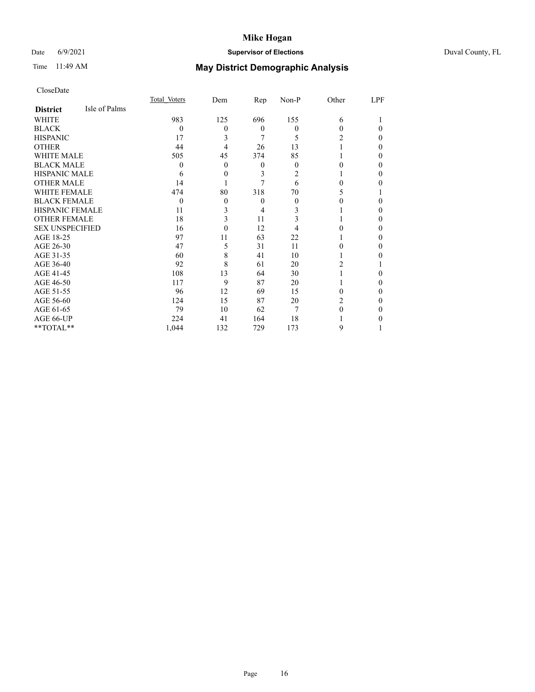## Date 6/9/2021 **Supervisor of Elections** Duval County, FL

# Time 11:49 AM **May District Demographic Analysis**

|                        |               | Total Voters | Dem | $\mathbf{Rep}$   | Non-P    | Other | LPF      |
|------------------------|---------------|--------------|-----|------------------|----------|-------|----------|
| <b>District</b>        | Isle of Palms |              |     |                  |          |       |          |
| WHITE                  |               | 983          | 125 | 696              | 155      | 6     |          |
| <b>BLACK</b>           |               | 0            | 0   | $\boldsymbol{0}$ | 0        | 0     | 0        |
| <b>HISPANIC</b>        |               | 17           | 3   | 7                | 5        | 2     | 0        |
| <b>OTHER</b>           |               | 44           | 4   | 26               | 13       |       | $\theta$ |
| WHITE MALE             |               | 505          | 45  | 374              | 85       |       | $\Omega$ |
| <b>BLACK MALE</b>      |               | $\theta$     | 0   | 0                | 0        |       | 0        |
| <b>HISPANIC MALE</b>   |               | 6            | 0   | 3                | 2        |       | 0        |
| <b>OTHER MALE</b>      |               | 14           |     |                  | 6        | 0     | 0        |
| <b>WHITE FEMALE</b>    |               | 474          | 80  | 318              | 70       | 5     |          |
| <b>BLACK FEMALE</b>    |               | $\theta$     | 0   | 0                | $\theta$ |       | 0        |
| <b>HISPANIC FEMALE</b> |               | 11           | 3   | 4                | 3        |       | $\Omega$ |
| <b>OTHER FEMALE</b>    |               | 18           | 3   | 11               | 3        |       | $\theta$ |
| <b>SEX UNSPECIFIED</b> |               | 16           | 0   | 12               |          |       | $\Omega$ |
| AGE 18-25              |               | 97           | 11  | 63               | 22       |       | 0        |
| AGE 26-30              |               | 47           | 5   | 31               | 11       |       | $\Omega$ |
| AGE 31-35              |               | 60           | 8   | 41               | 10       |       | 0        |
| AGE 36-40              |               | 92           | 8   | 61               | 20       | 2     |          |
| AGE 41-45              |               | 108          | 13  | 64               | 30       |       | 0        |
| AGE 46-50              |               | 117          | 9   | 87               | 20       |       | $\theta$ |
| AGE 51-55              |               | 96           | 12  | 69               | 15       | 0     | $\Omega$ |
| AGE 56-60              |               | 124          | 15  | 87               | 20       | 2     | 0        |
| AGE 61-65              |               | 79           | 10  | 62               | 7        |       | $\Omega$ |
| AGE 66-UP              |               | 224          | 41  | 164              | 18       |       | 0        |
| **TOTAL**              |               | 1,044        | 132 | 729              | 173      | 9     |          |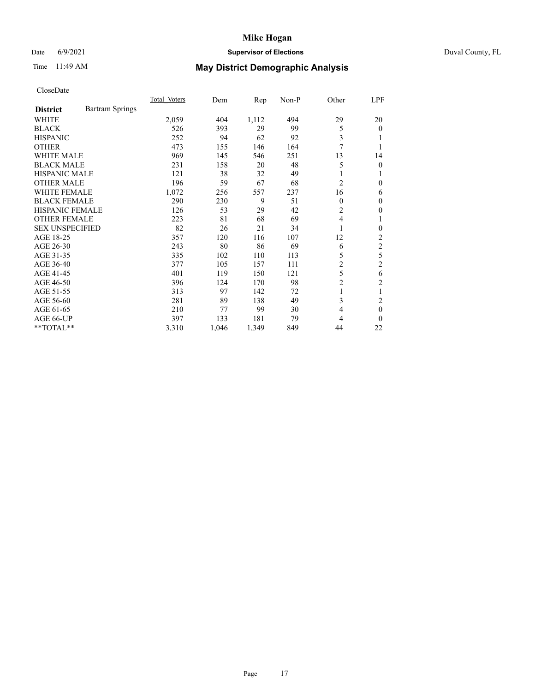## Date 6/9/2021 **Supervisor of Elections** Duval County, FL

# Time 11:49 AM **May District Demographic Analysis**

|                        |                        | Total Voters | Dem   | $\mathbf{Rep}$ | Non-P | Other          | LPF            |
|------------------------|------------------------|--------------|-------|----------------|-------|----------------|----------------|
| <b>District</b>        | <b>Bartram Springs</b> |              |       |                |       |                |                |
| WHITE                  |                        | 2,059        | 404   | 1,112          | 494   | 29             | 20             |
| <b>BLACK</b>           |                        | 526          | 393   | 29             | 99    | 5              | $\overline{0}$ |
| <b>HISPANIC</b>        |                        | 252          | 94    | 62             | 92    | 3              |                |
| <b>OTHER</b>           |                        | 473          | 155   | 146            | 164   | 7              |                |
| <b>WHITE MALE</b>      |                        | 969          | 145   | 546            | 251   | 13             | 14             |
| <b>BLACK MALE</b>      |                        | 231          | 158   | 20             | 48    | 5              | 0              |
| <b>HISPANIC MALE</b>   |                        | 121          | 38    | 32             | 49    | 1              |                |
| <b>OTHER MALE</b>      |                        | 196          | 59    | 67             | 68    | 2              | 0              |
| WHITE FEMALE           |                        | 1,072        | 256   | 557            | 237   | 16             | 6              |
| <b>BLACK FEMALE</b>    |                        | 290          | 230   | 9              | 51    | $\Omega$       | 0              |
| <b>HISPANIC FEMALE</b> |                        | 126          | 53    | 29             | 42    | 2              | 0              |
| <b>OTHER FEMALE</b>    |                        | 223          | 81    | 68             | 69    | $\overline{4}$ |                |
| <b>SEX UNSPECIFIED</b> |                        | 82           | 26    | 21             | 34    | 1              | 0              |
| AGE 18-25              |                        | 357          | 120   | 116            | 107   | 12             | 2              |
| AGE 26-30              |                        | 243          | 80    | 86             | 69    | 6              | 2              |
| AGE 31-35              |                        | 335          | 102   | 110            | 113   | 5              | 5              |
| AGE 36-40              |                        | 377          | 105   | 157            | 111   | 2              | 2              |
| AGE 41-45              |                        | 401          | 119   | 150            | 121   | 5              | 6              |
| AGE 46-50              |                        | 396          | 124   | 170            | 98    | 2              | 2              |
| AGE 51-55              |                        | 313          | 97    | 142            | 72    | 1              | 1              |
| AGE 56-60              |                        | 281          | 89    | 138            | 49    | 3              | 2              |
| AGE 61-65              |                        | 210          | 77    | 99             | 30    | 4              | $\mathbf{0}$   |
| AGE 66-UP              |                        | 397          | 133   | 181            | 79    | 4              | 0              |
| **TOTAL**              |                        | 3,310        | 1,046 | 1,349          | 849   | 44             | 22             |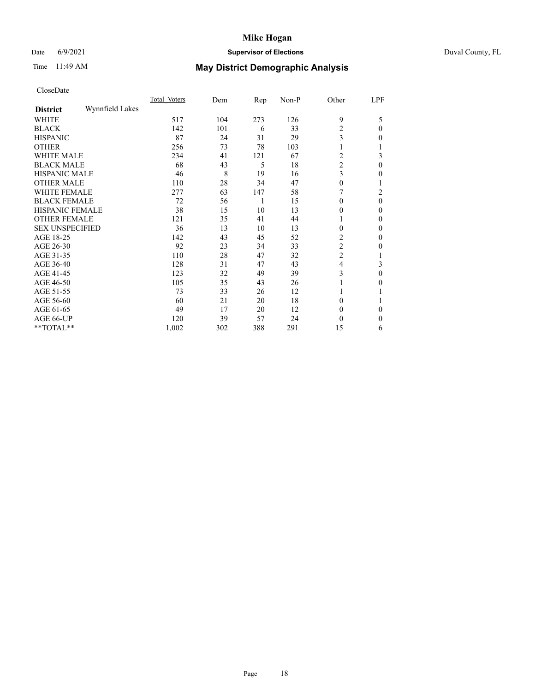## Date 6/9/2021 **Supervisor of Elections** Duval County, FL

# Time 11:49 AM **May District Demographic Analysis**

|                        |                 | Total Voters | Dem | Rep | Non-P | Other          | LPF          |
|------------------------|-----------------|--------------|-----|-----|-------|----------------|--------------|
| <b>District</b>        | Wynnfield Lakes |              |     |     |       |                |              |
| WHITE                  |                 | 517          | 104 | 273 | 126   | 9              | 5            |
| <b>BLACK</b>           |                 | 142          | 101 | 6   | 33    | $\overline{c}$ | $\Omega$     |
| <b>HISPANIC</b>        |                 | 87           | 24  | 31  | 29    | 3              | 0            |
| <b>OTHER</b>           |                 | 256          | 73  | 78  | 103   |                |              |
| WHITE MALE             |                 | 234          | 41  | 121 | 67    | 2              | 3            |
| <b>BLACK MALE</b>      |                 | 68           | 43  | 5   | 18    | $\overline{c}$ | $\theta$     |
| <b>HISPANIC MALE</b>   |                 | 46           | 8   | 19  | 16    | 3              | 0            |
| <b>OTHER MALE</b>      |                 | 110          | 28  | 34  | 47    | $\theta$       | 1            |
| WHITE FEMALE           |                 | 277          | 63  | 147 | 58    |                | 2            |
| <b>BLACK FEMALE</b>    |                 | 72           | 56  | 1   | 15    | $\Omega$       | $\theta$     |
| <b>HISPANIC FEMALE</b> |                 | 38           | 15  | 10  | 13    | $\theta$       | 0            |
| <b>OTHER FEMALE</b>    |                 | 121          | 35  | 41  | 44    |                | 0            |
| <b>SEX UNSPECIFIED</b> |                 | 36           | 13  | 10  | 13    | $\theta$       | 0            |
| AGE 18-25              |                 | 142          | 43  | 45  | 52    | 2              | 0            |
| AGE 26-30              |                 | 92           | 23  | 34  | 33    | $\overline{c}$ | $\mathbf{0}$ |
| AGE 31-35              |                 | 110          | 28  | 47  | 32    | $\overline{c}$ |              |
| AGE 36-40              |                 | 128          | 31  | 47  | 43    | 4              | 3            |
| AGE 41-45              |                 | 123          | 32  | 49  | 39    | 3              | 0            |
| AGE 46-50              |                 | 105          | 35  | 43  | 26    |                | 0            |
| AGE 51-55              |                 | 73           | 33  | 26  | 12    |                |              |
| AGE 56-60              |                 | 60           | 21  | 20  | 18    | $\theta$       |              |
| AGE 61-65              |                 | 49           | 17  | 20  | 12    | $\theta$       | 0            |
| AGE 66-UP              |                 | 120          | 39  | 57  | 24    | $\theta$       | $\mathbf{0}$ |
| **TOTAL**              |                 | 1,002        | 302 | 388 | 291   | 15             | 6            |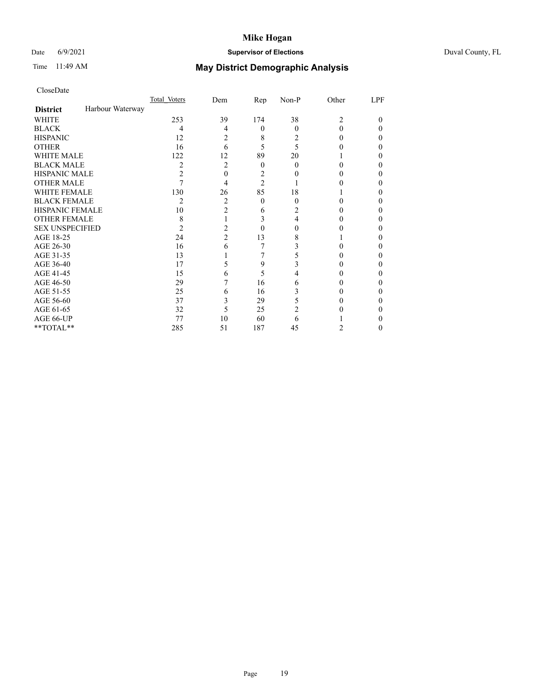## Date 6/9/2021 **Supervisor of Elections** Duval County, FL

# Time 11:49 AM **May District Demographic Analysis**

|                        |                  | Total Voters   | Dem            | Rep            | Non-P    | Other          | LPF |
|------------------------|------------------|----------------|----------------|----------------|----------|----------------|-----|
| <b>District</b>        | Harbour Waterway |                |                |                |          |                |     |
| <b>WHITE</b>           |                  | 253            | 39             | 174            | 38       | $\overline{c}$ | 0   |
| <b>BLACK</b>           |                  | 4              | 4              | $\theta$       | $\theta$ | $\Omega$       | 0   |
| <b>HISPANIC</b>        |                  | 12             | 2              | 8              | 2        | $\theta$       | 0   |
| <b>OTHER</b>           |                  | 16             | 6              | 5              | 5        |                | 0   |
| WHITE MALE             |                  | 122            | 12             | 89             | 20       |                | 0   |
| <b>BLACK MALE</b>      |                  | 2              | 2              | $\theta$       | 0        | 0              | 0   |
| <b>HISPANIC MALE</b>   |                  | 2              | 0              | 2              |          |                | 0   |
| <b>OTHER MALE</b>      |                  |                | 4              | $\overline{2}$ |          |                | 0   |
| WHITE FEMALE           |                  | 130            | 26             | 85             | 18       |                | 0   |
| <b>BLACK FEMALE</b>    |                  | $\overline{c}$ | 2              | $\overline{0}$ | 0        | $\theta$       | 0   |
| <b>HISPANIC FEMALE</b> |                  | 10             | $\overline{c}$ | 6              | 2        |                | 0   |
| <b>OTHER FEMALE</b>    |                  | 8              |                | 3              | 4        | $^{(1)}$       | 0   |
| <b>SEX UNSPECIFIED</b> |                  | 2              | 2              | $\theta$       | 0        |                | 0   |
| AGE 18-25              |                  | 24             | $\overline{c}$ | 13             | 8        |                | 0   |
| AGE 26-30              |                  | 16             | 6              |                | 3        |                | 0   |
| AGE 31-35              |                  | 13             |                |                |          |                | 0   |
| AGE 36-40              |                  | 17             | 5              | 9              | 3        | $_{0}$         | 0   |
| AGE 41-45              |                  | 15             | 6              | 5              |          | 0              | 0   |
| AGE 46-50              |                  | 29             |                | 16             | 6        | 0              | 0   |
| AGE 51-55              |                  | 25             | 6              | 16             | 3        |                | 0   |
| AGE 56-60              |                  | 37             | 3              | 29             | 5        |                | 0   |
| AGE 61-65              |                  | 32             | 5              | 25             | 2        |                | 0   |
| AGE 66-UP              |                  | 77             | 10             | 60             | 6        |                | 0   |
| **TOTAL**              |                  | 285            | 51             | 187            | 45       | 2              | 0   |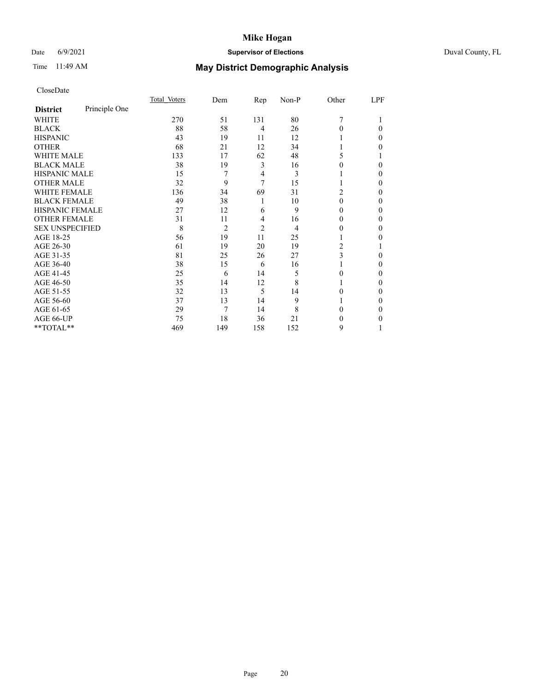## Date 6/9/2021 **Supervisor of Elections** Duval County, FL

# Time 11:49 AM **May District Demographic Analysis**

|                        |               | Total Voters | Dem            | Rep            | Non-P | Other          | LPF |
|------------------------|---------------|--------------|----------------|----------------|-------|----------------|-----|
| <b>District</b>        | Principle One |              |                |                |       |                |     |
| WHITE                  |               | 270          | 51             | 131            | 80    | 7              |     |
| <b>BLACK</b>           |               | 88           | 58             | $\overline{4}$ | 26    | 0              | 0   |
| <b>HISPANIC</b>        |               | 43           | 19             | 11             | 12    |                | 0   |
| <b>OTHER</b>           |               | 68           | 21             | 12             | 34    |                | 0   |
| <b>WHITE MALE</b>      |               | 133          | 17             | 62             | 48    | 5              |     |
| <b>BLACK MALE</b>      |               | 38           | 19             | 3              | 16    | $_{0}$         | 0   |
| <b>HISPANIC MALE</b>   |               | 15           | 7              | 4              | 3     |                | 0   |
| <b>OTHER MALE</b>      |               | 32           | 9              | 7              | 15    | 1              | 0   |
| <b>WHITE FEMALE</b>    |               | 136          | 34             | 69             | 31    | $\overline{c}$ | 0   |
| <b>BLACK FEMALE</b>    |               | 49           | 38             | 1              | 10    | 0              | 0   |
| HISPANIC FEMALE        |               | 27           | 12             | 6              | 9     | $\theta$       | 0   |
| <b>OTHER FEMALE</b>    |               | 31           | 11             | 4              | 16    | $\theta$       | 0   |
| <b>SEX UNSPECIFIED</b> |               | 8            | $\overline{2}$ | $\overline{2}$ | 4     | $_{0}$         | 0   |
| AGE 18-25              |               | 56           | 19             | 11             | 25    |                | 0   |
| AGE 26-30              |               | 61           | 19             | 20             | 19    | 2              |     |
| AGE 31-35              |               | 81           | 25             | 26             | 27    | 3              | 0   |
| AGE 36-40              |               | 38           | 15             | 6              | 16    |                | 0   |
| AGE 41-45              |               | 25           | 6              | 14             | 5     | 0              | 0   |
| AGE 46-50              |               | 35           | 14             | 12             | 8     | 1              | 0   |
| AGE 51-55              |               | 32           | 13             | 5              | 14    | 0              | 0   |
| AGE 56-60              |               | 37           | 13             | 14             | 9     |                | 0   |
| AGE 61-65              |               | 29           | 7              | 14             | 8     | 0              | 0   |
| AGE 66-UP              |               | 75           | 18             | 36             | 21    | 0              | 0   |
| **TOTAL**              |               | 469          | 149            | 158            | 152   | 9              |     |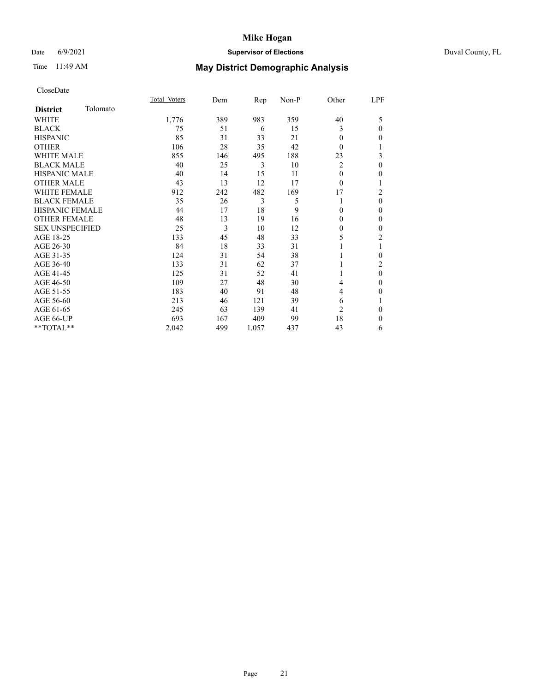# Date 6/9/2021 **Supervisor of Elections** Duval County, FL

# Time 11:49 AM **May District Demographic Analysis**

|                        |          | Total Voters | Dem | Rep   | Non-P | Other          | LPF      |
|------------------------|----------|--------------|-----|-------|-------|----------------|----------|
| <b>District</b>        | Tolomato |              |     |       |       |                |          |
| WHITE                  |          | 1,776        | 389 | 983   | 359   | 40             | 5        |
| <b>BLACK</b>           |          | 75           | 51  | 6     | 15    | 3              | $\theta$ |
| <b>HISPANIC</b>        |          | 85           | 31  | 33    | 21    | $\Omega$       | $\theta$ |
| <b>OTHER</b>           |          | 106          | 28  | 35    | 42    | $\Omega$       |          |
| WHITE MALE             |          | 855          | 146 | 495   | 188   | 23             | 3        |
| <b>BLACK MALE</b>      |          | 40           | 25  | 3     | 10    | $\overline{2}$ | $\theta$ |
| <b>HISPANIC MALE</b>   |          | 40           | 14  | 15    | 11    | $\theta$       | $\Omega$ |
| <b>OTHER MALE</b>      |          | 43           | 13  | 12    | 17    | $\theta$       |          |
| <b>WHITE FEMALE</b>    |          | 912          | 242 | 482   | 169   | 17             | 2        |
| <b>BLACK FEMALE</b>    |          | 35           | 26  | 3     | 5     |                | $\theta$ |
| <b>HISPANIC FEMALE</b> |          | 44           | 17  | 18    | 9     | 0              | $\Omega$ |
| <b>OTHER FEMALE</b>    |          | 48           | 13  | 19    | 16    | $\Omega$       | $\theta$ |
| <b>SEX UNSPECIFIED</b> |          | 25           | 3   | 10    | 12    | $\Omega$       | $\theta$ |
| AGE 18-25              |          | 133          | 45  | 48    | 33    | 5              | 2        |
| AGE 26-30              |          | 84           | 18  | 33    | 31    |                |          |
| AGE 31-35              |          | 124          | 31  | 54    | 38    |                | 0        |
| AGE 36-40              |          | 133          | 31  | 62    | 37    |                | 2        |
| AGE 41-45              |          | 125          | 31  | 52    | 41    |                | $\theta$ |
| AGE 46-50              |          | 109          | 27  | 48    | 30    | 4              | $\theta$ |
| AGE 51-55              |          | 183          | 40  | 91    | 48    | 4              | $\Omega$ |
| AGE 56-60              |          | 213          | 46  | 121   | 39    | 6              |          |
| AGE 61-65              |          | 245          | 63  | 139   | 41    | $\overline{2}$ | $\theta$ |
| AGE 66-UP              |          | 693          | 167 | 409   | 99    | 18             | $\Omega$ |
| **TOTAL**              |          | 2,042        | 499 | 1,057 | 437   | 43             | 6        |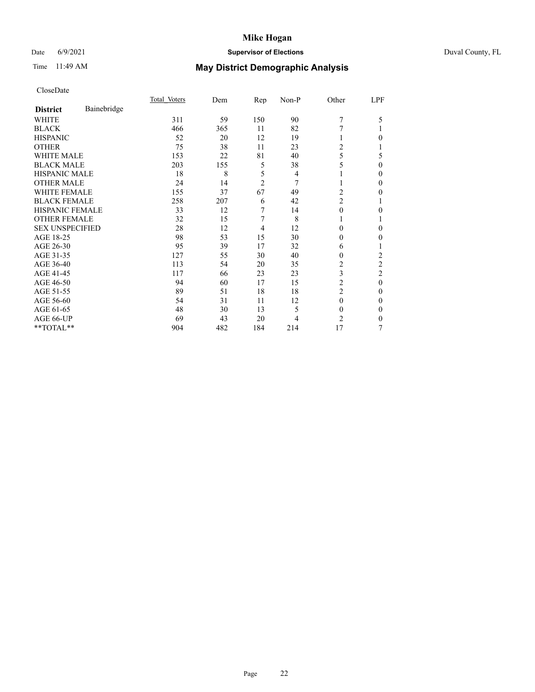## Date 6/9/2021 **Supervisor of Elections** Duval County, FL

# Time 11:49 AM **May District Demographic Analysis**

|                        |             | Total Voters | Dem | Rep            | Non-P | Other          | LPF            |
|------------------------|-------------|--------------|-----|----------------|-------|----------------|----------------|
| <b>District</b>        | Bainebridge |              |     |                |       |                |                |
| WHITE                  |             | 311          | 59  | 150            | 90    | 7              | 5              |
| <b>BLACK</b>           |             | 466          | 365 | 11             | 82    | 7              |                |
| <b>HISPANIC</b>        |             | 52           | 20  | 12             | 19    |                | 0              |
| <b>OTHER</b>           |             | 75           | 38  | 11             | 23    | $\overline{2}$ |                |
| WHITE MALE             |             | 153          | 22  | 81             | 40    | 5              | 5              |
| <b>BLACK MALE</b>      |             | 203          | 155 | 5              | 38    | 5              | 0              |
| <b>HISPANIC MALE</b>   |             | 18           | 8   | 5              | 4     |                | 0              |
| <b>OTHER MALE</b>      |             | 24           | 14  | $\overline{2}$ | 7     | 1              | 0              |
| WHITE FEMALE           |             | 155          | 37  | 67             | 49    | $\overline{2}$ | 0              |
| <b>BLACK FEMALE</b>    |             | 258          | 207 | 6              | 42    | $\overline{c}$ |                |
| <b>HISPANIC FEMALE</b> |             | 33           | 12  | 7              | 14    | $\theta$       | 0              |
| <b>OTHER FEMALE</b>    |             | 32           | 15  | 7              | 8     | 1              |                |
| <b>SEX UNSPECIFIED</b> |             | 28           | 12  | 4              | 12    | $\theta$       | 0              |
| AGE 18-25              |             | 98           | 53  | 15             | 30    | $\Omega$       | 0              |
| AGE 26-30              |             | 95           | 39  | 17             | 32    | 6              |                |
| AGE 31-35              |             | 127          | 55  | 30             | 40    | $\theta$       | 2              |
| AGE 36-40              |             | 113          | 54  | 20             | 35    | 2              | $\overline{c}$ |
| AGE 41-45              |             | 117          | 66  | 23             | 23    | 3              | 2              |
| AGE 46-50              |             | 94           | 60  | 17             | 15    | $\overline{c}$ | $\mathbf{0}$   |
| AGE 51-55              |             | 89           | 51  | 18             | 18    | 2              | 0              |
| AGE 56-60              |             | 54           | 31  | 11             | 12    | $\theta$       | 0              |
| AGE 61-65              |             | 48           | 30  | 13             | 5     | $\theta$       | 0              |
| AGE 66-UP              |             | 69           | 43  | 20             | 4     | 2              | 0              |
| **TOTAL**              |             | 904          | 482 | 184            | 214   | 17             | 7              |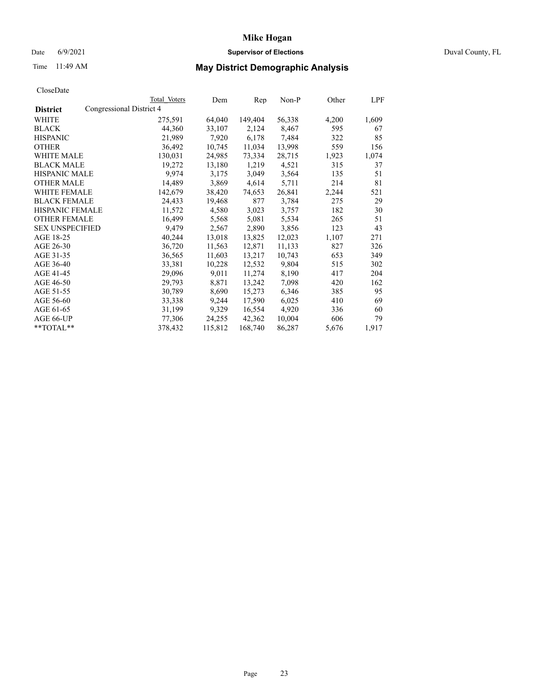## Date 6/9/2021 **Supervisor of Elections** Duval County, FL

# Time 11:49 AM **May District Demographic Analysis**

|                        |                          | Total Voters | Dem     | Rep     | Non-P  | Other | LPF   |
|------------------------|--------------------------|--------------|---------|---------|--------|-------|-------|
| <b>District</b>        | Congressional District 4 |              |         |         |        |       |       |
| WHITE                  |                          | 275,591      | 64,040  | 149,404 | 56,338 | 4,200 | 1,609 |
| <b>BLACK</b>           |                          | 44,360       | 33,107  | 2,124   | 8,467  | 595   | 67    |
| <b>HISPANIC</b>        |                          | 21,989       | 7,920   | 6,178   | 7,484  | 322   | 85    |
| <b>OTHER</b>           |                          | 36,492       | 10,745  | 11,034  | 13,998 | 559   | 156   |
| WHITE MALE             |                          | 130,031      | 24,985  | 73,334  | 28,715 | 1,923 | 1,074 |
| <b>BLACK MALE</b>      |                          | 19,272       | 13,180  | 1,219   | 4,521  | 315   | 37    |
| <b>HISPANIC MALE</b>   |                          | 9,974        | 3,175   | 3,049   | 3,564  | 135   | 51    |
| <b>OTHER MALE</b>      |                          | 14,489       | 3,869   | 4,614   | 5,711  | 214   | 81    |
| <b>WHITE FEMALE</b>    |                          | 142,679      | 38,420  | 74,653  | 26,841 | 2,244 | 521   |
| <b>BLACK FEMALE</b>    |                          | 24,433       | 19,468  | 877     | 3,784  | 275   | 29    |
| <b>HISPANIC FEMALE</b> |                          | 11,572       | 4,580   | 3,023   | 3,757  | 182   | 30    |
| <b>OTHER FEMALE</b>    |                          | 16,499       | 5,568   | 5,081   | 5,534  | 265   | 51    |
| <b>SEX UNSPECIFIED</b> |                          | 9,479        | 2,567   | 2,890   | 3,856  | 123   | 43    |
| AGE 18-25              |                          | 40,244       | 13,018  | 13,825  | 12,023 | 1,107 | 271   |
| AGE 26-30              |                          | 36,720       | 11,563  | 12,871  | 11,133 | 827   | 326   |
| AGE 31-35              |                          | 36,565       | 11,603  | 13,217  | 10,743 | 653   | 349   |
| AGE 36-40              |                          | 33,381       | 10,228  | 12,532  | 9,804  | 515   | 302   |
| AGE 41-45              |                          | 29,096       | 9,011   | 11,274  | 8,190  | 417   | 204   |
| AGE 46-50              |                          | 29,793       | 8,871   | 13,242  | 7,098  | 420   | 162   |
| AGE 51-55              |                          | 30,789       | 8,690   | 15,273  | 6,346  | 385   | 95    |
| AGE 56-60              |                          | 33,338       | 9,244   | 17,590  | 6,025  | 410   | 69    |
| AGE 61-65              |                          | 31,199       | 9,329   | 16,554  | 4,920  | 336   | 60    |
| AGE 66-UP              |                          | 77,306       | 24,255  | 42,362  | 10,004 | 606   | 79    |
| $*$ $TOTAL**$          |                          | 378,432      | 115,812 | 168,740 | 86,287 | 5,676 | 1,917 |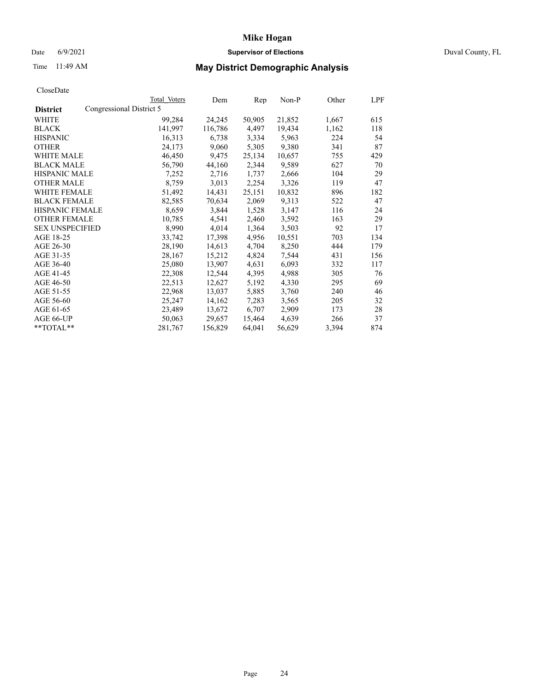# Date 6/9/2021 **Supervisor of Elections** Duval County, FL

# Time 11:49 AM **May District Demographic Analysis**

|                        |                          | Total Voters | Dem     | $\mathbf{Rep}$ | Non-P  | Other | LPF |
|------------------------|--------------------------|--------------|---------|----------------|--------|-------|-----|
| <b>District</b>        | Congressional District 5 |              |         |                |        |       |     |
| WHITE                  |                          | 99,284       | 24,245  | 50,905         | 21,852 | 1,667 | 615 |
| <b>BLACK</b>           |                          | 141,997      | 116,786 | 4,497          | 19,434 | 1,162 | 118 |
| <b>HISPANIC</b>        |                          | 16,313       | 6,738   | 3,334          | 5,963  | 224   | 54  |
| <b>OTHER</b>           |                          | 24,173       | 9,060   | 5,305          | 9,380  | 341   | 87  |
| <b>WHITE MALE</b>      |                          | 46,450       | 9,475   | 25,134         | 10,657 | 755   | 429 |
| <b>BLACK MALE</b>      |                          | 56,790       | 44,160  | 2,344          | 9,589  | 627   | 70  |
| <b>HISPANIC MALE</b>   |                          | 7,252        | 2,716   | 1,737          | 2,666  | 104   | 29  |
| <b>OTHER MALE</b>      |                          | 8,759        | 3,013   | 2,254          | 3,326  | 119   | 47  |
| <b>WHITE FEMALE</b>    |                          | 51,492       | 14,431  | 25,151         | 10,832 | 896   | 182 |
| <b>BLACK FEMALE</b>    |                          | 82,585       | 70,634  | 2,069          | 9,313  | 522   | 47  |
| <b>HISPANIC FEMALE</b> |                          | 8,659        | 3,844   | 1,528          | 3,147  | 116   | 24  |
| <b>OTHER FEMALE</b>    |                          | 10,785       | 4,541   | 2,460          | 3,592  | 163   | 29  |
| <b>SEX UNSPECIFIED</b> |                          | 8,990        | 4,014   | 1,364          | 3,503  | 92    | 17  |
| AGE 18-25              |                          | 33,742       | 17,398  | 4,956          | 10,551 | 703   | 134 |
| AGE 26-30              |                          | 28,190       | 14,613  | 4,704          | 8,250  | 444   | 179 |
| AGE 31-35              |                          | 28,167       | 15,212  | 4,824          | 7,544  | 431   | 156 |
| AGE 36-40              |                          | 25,080       | 13,907  | 4,631          | 6,093  | 332   | 117 |
| AGE 41-45              |                          | 22,308       | 12,544  | 4,395          | 4,988  | 305   | 76  |
| AGE 46-50              |                          | 22,513       | 12,627  | 5,192          | 4,330  | 295   | 69  |
| AGE 51-55              |                          | 22,968       | 13,037  | 5,885          | 3,760  | 240   | 46  |
| AGE 56-60              |                          | 25,247       | 14,162  | 7,283          | 3,565  | 205   | 32  |
| AGE 61-65              |                          | 23,489       | 13,672  | 6,707          | 2,909  | 173   | 28  |
| AGE 66-UP              |                          | 50,063       | 29,657  | 15,464         | 4,639  | 266   | 37  |
| $*$ TOTAL $*$          |                          | 281,767      | 156,829 | 64,041         | 56,629 | 3,394 | 874 |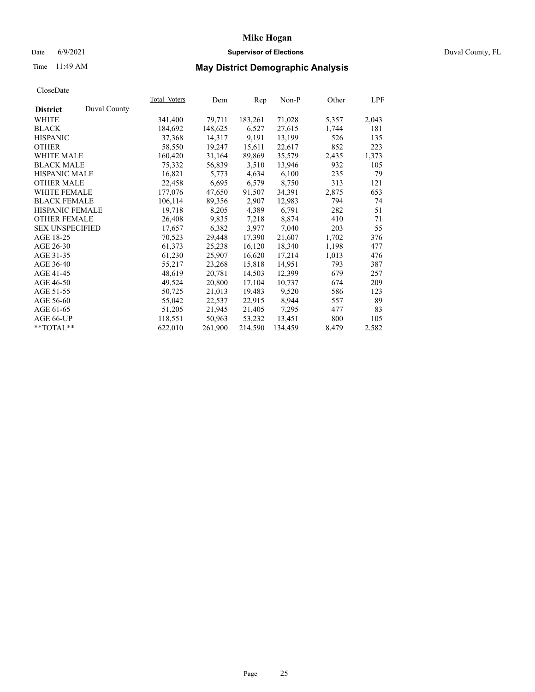## Date 6/9/2021 **Supervisor of Elections** Duval County, FL

# Time 11:49 AM **May District Demographic Analysis**

|                        |              | Total Voters | Dem     | Rep     | Non-P   | Other | LPF   |
|------------------------|--------------|--------------|---------|---------|---------|-------|-------|
| <b>District</b>        | Duval County |              |         |         |         |       |       |
| WHITE                  |              | 341,400      | 79,711  | 183,261 | 71,028  | 5,357 | 2,043 |
| <b>BLACK</b>           |              | 184,692      | 148,625 | 6,527   | 27,615  | 1,744 | 181   |
| <b>HISPANIC</b>        |              | 37,368       | 14,317  | 9,191   | 13,199  | 526   | 135   |
| <b>OTHER</b>           |              | 58,550       | 19,247  | 15,611  | 22,617  | 852   | 223   |
| <b>WHITE MALE</b>      |              | 160,420      | 31,164  | 89,869  | 35,579  | 2,435 | 1,373 |
| <b>BLACK MALE</b>      |              | 75,332       | 56,839  | 3,510   | 13,946  | 932   | 105   |
| <b>HISPANIC MALE</b>   |              | 16,821       | 5,773   | 4,634   | 6,100   | 235   | 79    |
| <b>OTHER MALE</b>      |              | 22,458       | 6,695   | 6,579   | 8,750   | 313   | 121   |
| <b>WHITE FEMALE</b>    |              | 177,076      | 47,650  | 91,507  | 34,391  | 2,875 | 653   |
| <b>BLACK FEMALE</b>    |              | 106,114      | 89,356  | 2,907   | 12,983  | 794   | 74    |
| <b>HISPANIC FEMALE</b> |              | 19,718       | 8,205   | 4,389   | 6,791   | 282   | 51    |
| <b>OTHER FEMALE</b>    |              | 26,408       | 9,835   | 7,218   | 8,874   | 410   | 71    |
| <b>SEX UNSPECIFIED</b> |              | 17,657       | 6,382   | 3,977   | 7,040   | 203   | 55    |
| AGE 18-25              |              | 70,523       | 29,448  | 17,390  | 21,607  | 1,702 | 376   |
| AGE 26-30              |              | 61,373       | 25,238  | 16,120  | 18,340  | 1,198 | 477   |
| AGE 31-35              |              | 61,230       | 25,907  | 16,620  | 17,214  | 1,013 | 476   |
| AGE 36-40              |              | 55,217       | 23,268  | 15,818  | 14,951  | 793   | 387   |
| AGE 41-45              |              | 48,619       | 20,781  | 14,503  | 12,399  | 679   | 257   |
| AGE 46-50              |              | 49,524       | 20,800  | 17,104  | 10,737  | 674   | 209   |
| AGE 51-55              |              | 50,725       | 21,013  | 19,483  | 9,520   | 586   | 123   |
| AGE 56-60              |              | 55,042       | 22,537  | 22,915  | 8,944   | 557   | 89    |
| AGE 61-65              |              | 51,205       | 21,945  | 21,405  | 7,295   | 477   | 83    |
| AGE 66-UP              |              | 118,551      | 50,963  | 53,232  | 13,451  | 800   | 105   |
| $*$ TOTAL $*$          |              | 622,010      | 261,900 | 214,590 | 134,459 | 8,479 | 2,582 |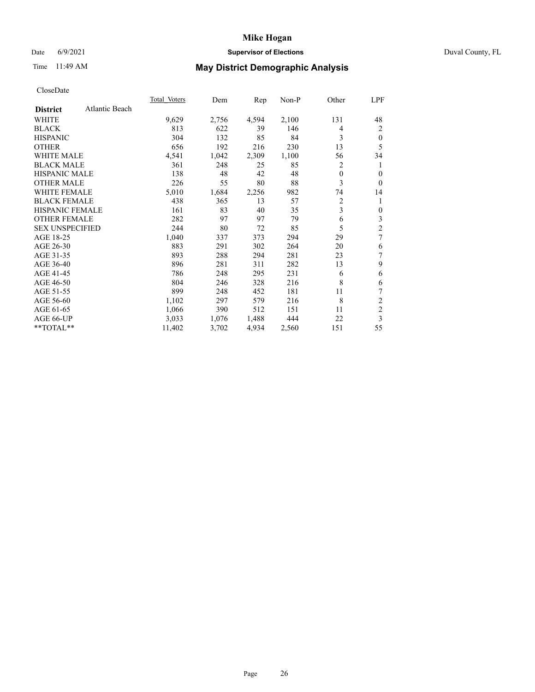### Date 6/9/2021 **Supervisor of Elections Supervisor of Elections** Duval County, FL

# Time 11:49 AM **May District Demographic Analysis**

|                                   | Total Voters | Dem   | Rep   | Non-P | Other        | LPF            |
|-----------------------------------|--------------|-------|-------|-------|--------------|----------------|
| Atlantic Beach<br><b>District</b> |              |       |       |       |              |                |
| WHITE                             | 9,629        | 2,756 | 4,594 | 2,100 | 131          | 48             |
| <b>BLACK</b>                      | 813          | 622   | 39    | 146   | 4            | 2              |
| <b>HISPANIC</b>                   | 304          | 132   | 85    | 84    | 3            | $\theta$       |
| <b>OTHER</b>                      | 656          | 192   | 216   | 230   | 13           | 5              |
| <b>WHITE MALE</b>                 | 4,541        | 1,042 | 2,309 | 1,100 | 56           | 34             |
| <b>BLACK MALE</b>                 | 361          | 248   | 25    | 85    | 2            | 1              |
| <b>HISPANIC MALE</b>              | 138          | 48    | 42    | 48    | $\mathbf{0}$ | 0              |
| <b>OTHER MALE</b>                 | 226          | 55    | 80    | 88    | 3            | $\theta$       |
| <b>WHITE FEMALE</b>               | 5,010        | 1,684 | 2,256 | 982   | 74           | 14             |
| <b>BLACK FEMALE</b>               | 438          | 365   | 13    | 57    | 2            | 1              |
| <b>HISPANIC FEMALE</b>            | 161          | 83    | 40    | 35    | 3            | 0              |
| <b>OTHER FEMALE</b>               | 282          | 97    | 97    | 79    | 6            | 3              |
| <b>SEX UNSPECIFIED</b>            | 244          | 80    | 72    | 85    | 5            | $\overline{c}$ |
| AGE 18-25                         | 1,040        | 337   | 373   | 294   | 29           | 7              |
| AGE 26-30                         | 883          | 291   | 302   | 264   | 20           | 6              |
| AGE 31-35                         | 893          | 288   | 294   | 281   | 23           | 7              |
| AGE 36-40                         | 896          | 281   | 311   | 282   | 13           | 9              |
| AGE 41-45                         | 786          | 248   | 295   | 231   | 6            | 6              |
| AGE 46-50                         | 804          | 246   | 328   | 216   | 8            | 6              |
| AGE 51-55                         | 899          | 248   | 452   | 181   | 11           | 7              |
| AGE 56-60                         | 1,102        | 297   | 579   | 216   | 8            | 2              |
| AGE 61-65                         | 1,066        | 390   | 512   | 151   | 11           | $\overline{2}$ |
| AGE 66-UP                         | 3,033        | 1,076 | 1,488 | 444   | 22           | 3              |
| **TOTAL**                         | 11,402       | 3,702 | 4,934 | 2,560 | 151          | 55             |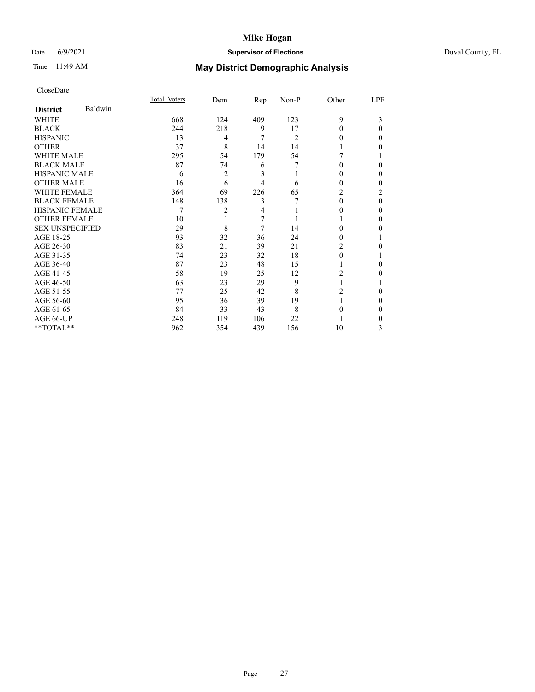## Date 6/9/2021 **Supervisor of Elections** Duval County, FL

# Time 11:49 AM **May District Demographic Analysis**

|                        |         | Total Voters | Dem | Rep | $Non-P$ | Other    | LPF      |
|------------------------|---------|--------------|-----|-----|---------|----------|----------|
| <b>District</b>        | Baldwin |              |     |     |         |          |          |
| WHITE                  |         | 668          | 124 | 409 | 123     | 9        | 3        |
| <b>BLACK</b>           |         | 244          | 218 | 9   | 17      | $\Omega$ | $\Omega$ |
| <b>HISPANIC</b>        |         | 13           | 4   | 7   | 2       | 0        | 0        |
| <b>OTHER</b>           |         | 37           | 8   | 14  | 14      |          | 0        |
| WHITE MALE             |         | 295          | 54  | 179 | 54      |          |          |
| <b>BLACK MALE</b>      |         | 87           | 74  | 6   | 7       | $\Omega$ | 0        |
| <b>HISPANIC MALE</b>   |         | 6            | 2   | 3   |         | $_{0}$   | 0        |
| <b>OTHER MALE</b>      |         | 16           | 6   | 4   | 6       | 0        | 0        |
| WHITE FEMALE           |         | 364          | 69  | 226 | 65      | 2        | 2        |
| <b>BLACK FEMALE</b>    |         | 148          | 138 | 3   |         | $\Omega$ | $\Omega$ |
| <b>HISPANIC FEMALE</b> |         |              | 2   | 4   |         | $_{0}$   | 0        |
| <b>OTHER FEMALE</b>    |         | 10           |     | 7   |         |          | 0        |
| <b>SEX UNSPECIFIED</b> |         | 29           | 8   | 7   | 14      | 0        | 0        |
| AGE 18-25              |         | 93           | 32  | 36  | 24      | 0        |          |
| AGE 26-30              |         | 83           | 21  | 39  | 21      | 2        | 0        |
| AGE 31-35              |         | 74           | 23  | 32  | 18      | 0        |          |
| AGE 36-40              |         | 87           | 23  | 48  | 15      |          | 0        |
| AGE 41-45              |         | 58           | 19  | 25  | 12      | 2        | 0        |
| AGE 46-50              |         | 63           | 23  | 29  | 9       |          |          |
| AGE 51-55              |         | 77           | 25  | 42  | 8       | 2        | 0        |
| AGE 56-60              |         | 95           | 36  | 39  | 19      |          | 0        |
| AGE 61-65              |         | 84           | 33  | 43  | 8       | 0        | 0        |
| AGE 66-UP              |         | 248          | 119 | 106 | 22      |          | 0        |
| **TOTAL**              |         | 962          | 354 | 439 | 156     | 10       | 3        |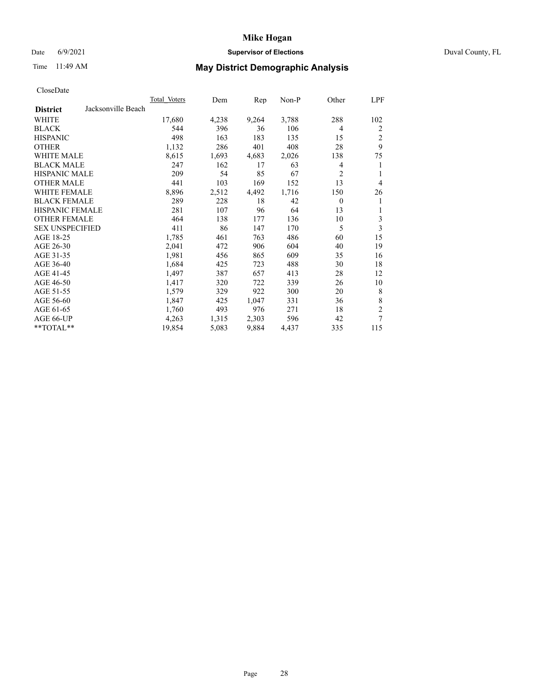## Date 6/9/2021 **Supervisor of Elections** Duval County, FL

# Time 11:49 AM **May District Demographic Analysis**

|                                       | Total Voters | Dem   | Rep   | Non-P | Other          | LPF            |
|---------------------------------------|--------------|-------|-------|-------|----------------|----------------|
| Jacksonville Beach<br><b>District</b> |              |       |       |       |                |                |
| WHITE                                 | 17,680       | 4,238 | 9,264 | 3,788 | 288            | 102            |
| <b>BLACK</b>                          | 544          | 396   | 36    | 106   | 4              | 2              |
| <b>HISPANIC</b>                       | 498          | 163   | 183   | 135   | 15             | $\overline{2}$ |
| <b>OTHER</b>                          | 1,132        | 286   | 401   | 408   | 28             | 9              |
| <b>WHITE MALE</b>                     | 8,615        | 1,693 | 4,683 | 2,026 | 138            | 75             |
| <b>BLACK MALE</b>                     | 247          | 162   | 17    | 63    | 4              | 1              |
| <b>HISPANIC MALE</b>                  | 209          | 54    | 85    | 67    | $\overline{2}$ | 1              |
| <b>OTHER MALE</b>                     | 441          | 103   | 169   | 152   | 13             | $\overline{4}$ |
| WHITE FEMALE                          | 8,896        | 2,512 | 4,492 | 1,716 | 150            | 26             |
| <b>BLACK FEMALE</b>                   | 289          | 228   | 18    | 42    | $\mathbf{0}$   | 1              |
| <b>HISPANIC FEMALE</b>                | 281          | 107   | 96    | 64    | 13             | 1              |
| <b>OTHER FEMALE</b>                   | 464          | 138   | 177   | 136   | 10             | 3              |
| <b>SEX UNSPECIFIED</b>                | 411          | 86    | 147   | 170   | 5              | 3              |
| AGE 18-25                             | 1,785        | 461   | 763   | 486   | 60             | 15             |
| AGE 26-30                             | 2,041        | 472   | 906   | 604   | 40             | 19             |
| AGE 31-35                             | 1,981        | 456   | 865   | 609   | 35             | 16             |
| AGE 36-40                             | 1,684        | 425   | 723   | 488   | 30             | 18             |
| AGE 41-45                             | 1,497        | 387   | 657   | 413   | 28             | 12             |
| AGE 46-50                             | 1,417        | 320   | 722   | 339   | 26             | 10             |
| AGE 51-55                             | 1,579        | 329   | 922   | 300   | 20             | 8              |
| AGE 56-60                             | 1,847        | 425   | 1,047 | 331   | 36             | $\,8\,$        |
| AGE 61-65                             | 1,760        | 493   | 976   | 271   | 18             | $\overline{c}$ |
| AGE 66-UP                             | 4,263        | 1,315 | 2,303 | 596   | 42             | 7              |
| **TOTAL**                             | 19,854       | 5,083 | 9,884 | 4,437 | 335            | 115            |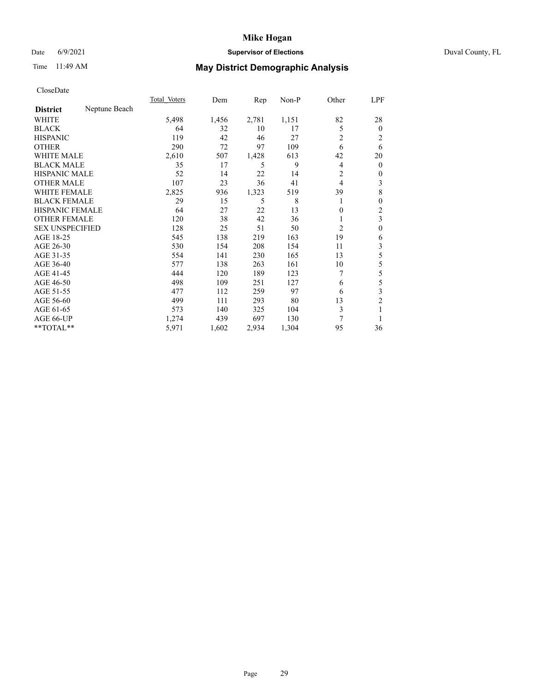## Date 6/9/2021 **Supervisor of Elections** Duval County, FL

# Time 11:49 AM **May District Demographic Analysis**

|                        |               | Total Voters | Dem   | Rep   | Non-P | Other          | LPF            |
|------------------------|---------------|--------------|-------|-------|-------|----------------|----------------|
| <b>District</b>        | Neptune Beach |              |       |       |       |                |                |
| WHITE                  |               | 5,498        | 1,456 | 2,781 | 1,151 | 82             | 28             |
| <b>BLACK</b>           |               | 64           | 32    | 10    | 17    | 5              | $\mathbf{0}$   |
| <b>HISPANIC</b>        |               | 119          | 42    | 46    | 27    | 2              | 2              |
| <b>OTHER</b>           |               | 290          | 72    | 97    | 109   | 6              | 6              |
| WHITE MALE             |               | 2,610        | 507   | 1,428 | 613   | 42             | 20             |
| <b>BLACK MALE</b>      |               | 35           | 17    | 5     | 9     | 4              | $\mathbf{0}$   |
| <b>HISPANIC MALE</b>   |               | 52           | 14    | 22    | 14    | 2              | $\mathbf{0}$   |
| <b>OTHER MALE</b>      |               | 107          | 23    | 36    | 41    | 4              | 3              |
| WHITE FEMALE           |               | 2,825        | 936   | 1,323 | 519   | 39             | 8              |
| <b>BLACK FEMALE</b>    |               | 29           | 15    | 5     | 8     |                | $\mathbf{0}$   |
| <b>HISPANIC FEMALE</b> |               | 64           | 27    | 22    | 13    | 0              | $\overline{2}$ |
| <b>OTHER FEMALE</b>    |               | 120          | 38    | 42    | 36    |                | 3              |
| <b>SEX UNSPECIFIED</b> |               | 128          | 25    | 51    | 50    | $\overline{2}$ | $\theta$       |
| AGE 18-25              |               | 545          | 138   | 219   | 163   | 19             | 6              |
| AGE 26-30              |               | 530          | 154   | 208   | 154   | 11             | 3              |
| AGE 31-35              |               | 554          | 141   | 230   | 165   | 13             | 5              |
| AGE 36-40              |               | 577          | 138   | 263   | 161   | 10             | 5              |
| AGE 41-45              |               | 444          | 120   | 189   | 123   | 7              | 5              |
| AGE 46-50              |               | 498          | 109   | 251   | 127   | 6              | 5              |
| AGE 51-55              |               | 477          | 112   | 259   | 97    | 6              | 3              |
| AGE 56-60              |               | 499          | 111   | 293   | 80    | 13             | $\overline{2}$ |
| AGE 61-65              |               | 573          | 140   | 325   | 104   | 3              |                |
| AGE 66-UP              |               | 1,274        | 439   | 697   | 130   | 7              |                |
| **TOTAL**              |               | 5,971        | 1,602 | 2,934 | 1,304 | 95             | 36             |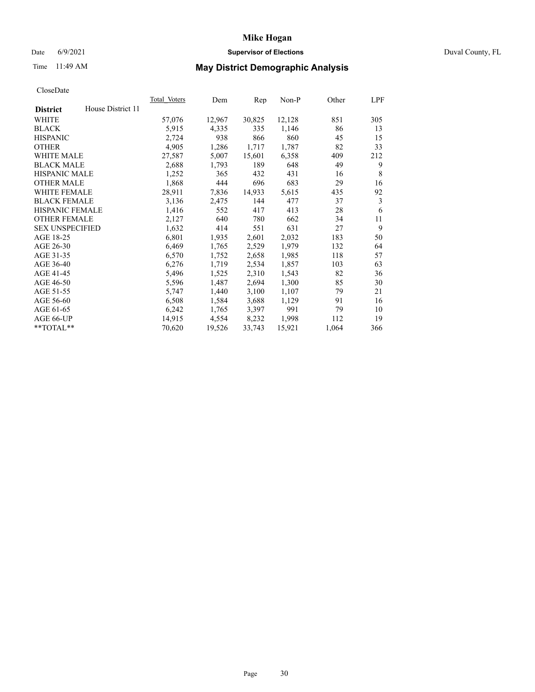## Date 6/9/2021 **Supervisor of Elections** Duval County, FL

# Time 11:49 AM **May District Demographic Analysis**

|                        |                   | Total Voters | Dem    | Rep    | Non-P  | Other | LPF |
|------------------------|-------------------|--------------|--------|--------|--------|-------|-----|
| <b>District</b>        | House District 11 |              |        |        |        |       |     |
| WHITE                  |                   | 57,076       | 12,967 | 30,825 | 12,128 | 851   | 305 |
| <b>BLACK</b>           |                   | 5,915        | 4,335  | 335    | 1,146  | 86    | 13  |
| <b>HISPANIC</b>        |                   | 2,724        | 938    | 866    | 860    | 45    | 15  |
| <b>OTHER</b>           |                   | 4,905        | 1,286  | 1,717  | 1,787  | 82    | 33  |
| <b>WHITE MALE</b>      |                   | 27,587       | 5,007  | 15,601 | 6,358  | 409   | 212 |
| <b>BLACK MALE</b>      |                   | 2,688        | 1,793  | 189    | 648    | 49    | 9   |
| <b>HISPANIC MALE</b>   |                   | 1,252        | 365    | 432    | 431    | 16    | 8   |
| <b>OTHER MALE</b>      |                   | 1,868        | 444    | 696    | 683    | 29    | 16  |
| WHITE FEMALE           |                   | 28,911       | 7,836  | 14,933 | 5,615  | 435   | 92  |
| <b>BLACK FEMALE</b>    |                   | 3,136        | 2,475  | 144    | 477    | 37    | 3   |
| <b>HISPANIC FEMALE</b> |                   | 1,416        | 552    | 417    | 413    | 28    | 6   |
| <b>OTHER FEMALE</b>    |                   | 2,127        | 640    | 780    | 662    | 34    | 11  |
| <b>SEX UNSPECIFIED</b> |                   | 1,632        | 414    | 551    | 631    | 27    | 9   |
| AGE 18-25              |                   | 6,801        | 1,935  | 2,601  | 2,032  | 183   | 50  |
| AGE 26-30              |                   | 6,469        | 1,765  | 2,529  | 1,979  | 132   | 64  |
| AGE 31-35              |                   | 6,570        | 1,752  | 2,658  | 1,985  | 118   | 57  |
| AGE 36-40              |                   | 6,276        | 1,719  | 2,534  | 1,857  | 103   | 63  |
| AGE 41-45              |                   | 5,496        | 1,525  | 2,310  | 1,543  | 82    | 36  |
| AGE 46-50              |                   | 5,596        | 1,487  | 2,694  | 1,300  | 85    | 30  |
| AGE 51-55              |                   | 5,747        | 1,440  | 3,100  | 1,107  | 79    | 21  |
| AGE 56-60              |                   | 6,508        | 1,584  | 3,688  | 1,129  | 91    | 16  |
| AGE 61-65              |                   | 6,242        | 1,765  | 3,397  | 991    | 79    | 10  |
| AGE 66-UP              |                   | 14,915       | 4,554  | 8,232  | 1,998  | 112   | 19  |
| $*$ TOTAL $*$          |                   | 70,620       | 19,526 | 33,743 | 15,921 | 1,064 | 366 |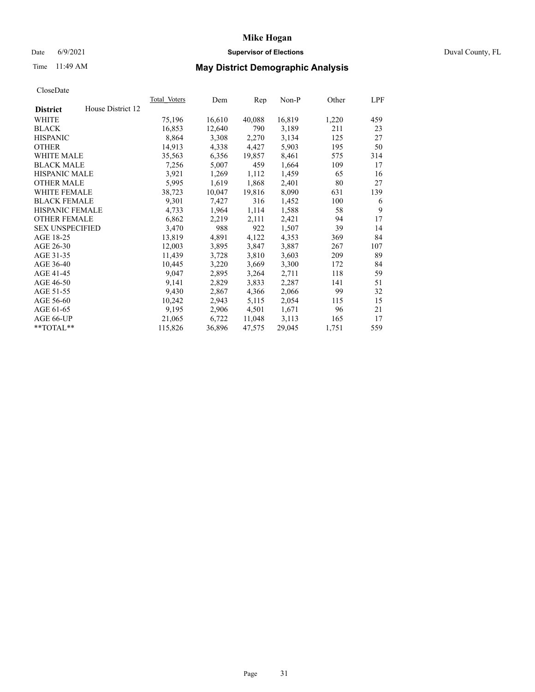### Date 6/9/2021 **Supervisor of Elections Supervisor of Elections** Duval County, FL

# Time 11:49 AM **May District Demographic Analysis**

|                        |                   | <b>Total Voters</b> | Dem    | Rep    | $Non-P$ | Other | LPF |
|------------------------|-------------------|---------------------|--------|--------|---------|-------|-----|
| <b>District</b>        | House District 12 |                     |        |        |         |       |     |
| WHITE                  |                   | 75,196              | 16,610 | 40,088 | 16,819  | 1,220 | 459 |
| <b>BLACK</b>           |                   | 16,853              | 12,640 | 790    | 3,189   | 211   | 23  |
| <b>HISPANIC</b>        |                   | 8,864               | 3,308  | 2,270  | 3,134   | 125   | 27  |
| <b>OTHER</b>           |                   | 14,913              | 4,338  | 4,427  | 5,903   | 195   | 50  |
| <b>WHITE MALE</b>      |                   | 35,563              | 6,356  | 19,857 | 8,461   | 575   | 314 |
| <b>BLACK MALE</b>      |                   | 7,256               | 5,007  | 459    | 1,664   | 109   | 17  |
| <b>HISPANIC MALE</b>   |                   | 3,921               | 1,269  | 1,112  | 1,459   | 65    | 16  |
| <b>OTHER MALE</b>      |                   | 5,995               | 1,619  | 1,868  | 2,401   | 80    | 27  |
| WHITE FEMALE           |                   | 38,723              | 10,047 | 19,816 | 8,090   | 631   | 139 |
| <b>BLACK FEMALE</b>    |                   | 9,301               | 7,427  | 316    | 1,452   | 100   | 6   |
| HISPANIC FEMALE        |                   | 4,733               | 1,964  | 1,114  | 1,588   | 58    | 9   |
| <b>OTHER FEMALE</b>    |                   | 6,862               | 2,219  | 2,111  | 2,421   | 94    | 17  |
| <b>SEX UNSPECIFIED</b> |                   | 3,470               | 988    | 922    | 1,507   | 39    | 14  |
| AGE 18-25              |                   | 13,819              | 4,891  | 4,122  | 4,353   | 369   | 84  |
| AGE 26-30              |                   | 12,003              | 3,895  | 3,847  | 3,887   | 267   | 107 |
| AGE 31-35              |                   | 11,439              | 3,728  | 3,810  | 3,603   | 209   | 89  |
| AGE 36-40              |                   | 10,445              | 3,220  | 3,669  | 3,300   | 172   | 84  |
| AGE 41-45              |                   | 9,047               | 2,895  | 3,264  | 2,711   | 118   | 59  |
| AGE 46-50              |                   | 9,141               | 2,829  | 3,833  | 2,287   | 141   | 51  |
| AGE 51-55              |                   | 9,430               | 2,867  | 4,366  | 2,066   | 99    | 32  |
| AGE 56-60              |                   | 10,242              | 2,943  | 5,115  | 2,054   | 115   | 15  |
| AGE 61-65              |                   | 9,195               | 2,906  | 4,501  | 1,671   | 96    | 21  |
| AGE 66-UP              |                   | 21,065              | 6,722  | 11,048 | 3,113   | 165   | 17  |
| $*$ $TOTAL**$          |                   | 115,826             | 36,896 | 47,575 | 29,045  | 1,751 | 559 |
|                        |                   |                     |        |        |         |       |     |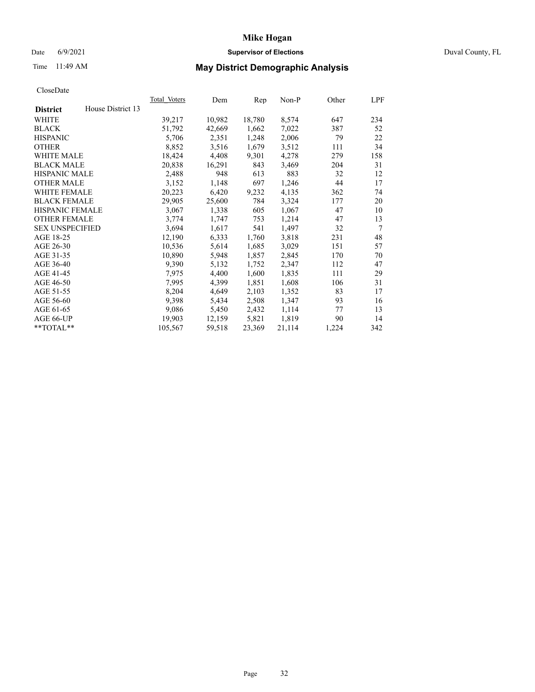### Date 6/9/2021 **Supervisor of Elections Supervisor of Elections** Duval County, FL

# Time 11:49 AM **May District Demographic Analysis**

|                                      | Total Voters | Dem    | Rep    | $Non-P$ | Other | LPF             |
|--------------------------------------|--------------|--------|--------|---------|-------|-----------------|
| House District 13<br><b>District</b> |              |        |        |         |       |                 |
| WHITE                                | 39,217       | 10,982 | 18,780 | 8,574   | 647   | 234             |
| <b>BLACK</b>                         | 51,792       | 42,669 | 1,662  | 7,022   | 387   | 52              |
| <b>HISPANIC</b>                      | 5,706        | 2,351  | 1,248  | 2,006   | 79    | 22              |
| <b>OTHER</b>                         | 8,852        | 3,516  | 1,679  | 3,512   | 111   | 34              |
| <b>WHITE MALE</b>                    | 18,424       | 4,408  | 9,301  | 4,278   | 279   | 158             |
| <b>BLACK MALE</b>                    | 20,838       | 16,291 | 843    | 3,469   | 204   | 31              |
| <b>HISPANIC MALE</b>                 | 2,488        | 948    | 613    | 883     | 32    | 12              |
| <b>OTHER MALE</b>                    | 3,152        | 1,148  | 697    | 1,246   | 44    | 17              |
| <b>WHITE FEMALE</b>                  | 20,223       | 6,420  | 9,232  | 4,135   | 362   | 74              |
| <b>BLACK FEMALE</b>                  | 29,905       | 25,600 | 784    | 3,324   | 177   | 20              |
| HISPANIC FEMALE                      | 3,067        | 1,338  | 605    | 1,067   | 47    | 10              |
| <b>OTHER FEMALE</b>                  | 3,774        | 1,747  | 753    | 1,214   | 47    | 13              |
| <b>SEX UNSPECIFIED</b>               | 3,694        | 1,617  | 541    | 1,497   | 32    | $7\phantom{.0}$ |
| AGE 18-25                            | 12,190       | 6,333  | 1,760  | 3,818   | 231   | 48              |
| AGE 26-30                            | 10,536       | 5,614  | 1,685  | 3,029   | 151   | 57              |
| AGE 31-35                            | 10,890       | 5,948  | 1,857  | 2,845   | 170   | 70              |
| AGE 36-40                            | 9,390        | 5,132  | 1,752  | 2,347   | 112   | 47              |
| AGE 41-45                            | 7,975        | 4,400  | 1,600  | 1,835   | 111   | 29              |
| AGE 46-50                            | 7,995        | 4,399  | 1,851  | 1,608   | 106   | 31              |
| AGE 51-55                            | 8,204        | 4,649  | 2,103  | 1,352   | 83    | 17              |
| AGE 56-60                            | 9,398        | 5,434  | 2,508  | 1,347   | 93    | 16              |
| AGE 61-65                            | 9,086        | 5,450  | 2,432  | 1,114   | 77    | 13              |
| AGE 66-UP                            | 19,903       | 12,159 | 5,821  | 1,819   | 90    | 14              |
| **TOTAL**                            | 105,567      | 59,518 | 23,369 | 21,114  | 1,224 | 342             |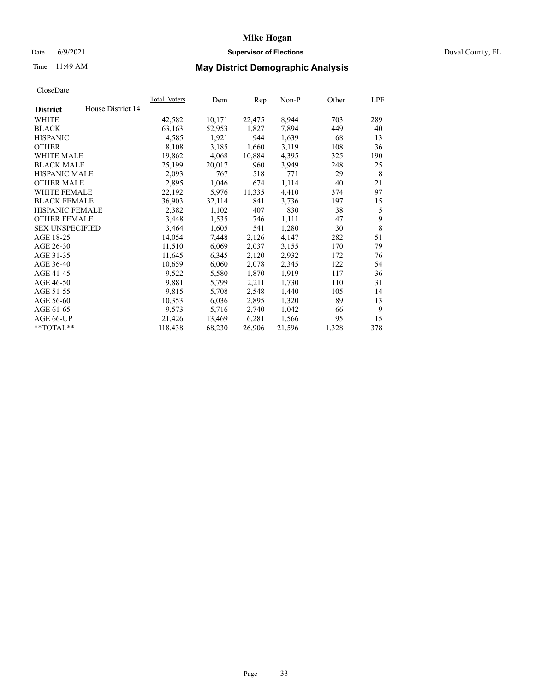### Date 6/9/2021 **Supervisor of Elections Supervisor of Elections** Duval County, FL

# Time 11:49 AM **May District Demographic Analysis**

|                        |                   | <b>Total Voters</b> | Dem    | Rep    | $Non-P$ | Other | LPF |
|------------------------|-------------------|---------------------|--------|--------|---------|-------|-----|
| <b>District</b>        | House District 14 |                     |        |        |         |       |     |
| WHITE                  |                   | 42,582              | 10,171 | 22,475 | 8,944   | 703   | 289 |
| <b>BLACK</b>           |                   | 63,163              | 52,953 | 1,827  | 7,894   | 449   | 40  |
| <b>HISPANIC</b>        |                   | 4,585               | 1,921  | 944    | 1,639   | 68    | 13  |
| <b>OTHER</b>           |                   | 8,108               | 3,185  | 1,660  | 3,119   | 108   | 36  |
| WHITE MALE             |                   | 19,862              | 4,068  | 10,884 | 4,395   | 325   | 190 |
| <b>BLACK MALE</b>      |                   | 25,199              | 20,017 | 960    | 3,949   | 248   | 25  |
| <b>HISPANIC MALE</b>   |                   | 2,093               | 767    | 518    | 771     | 29    | 8   |
| <b>OTHER MALE</b>      |                   | 2,895               | 1,046  | 674    | 1,114   | 40    | 21  |
| WHITE FEMALE           |                   | 22,192              | 5,976  | 11,335 | 4,410   | 374   | 97  |
| <b>BLACK FEMALE</b>    |                   | 36,903              | 32,114 | 841    | 3,736   | 197   | 15  |
| HISPANIC FEMALE        |                   | 2,382               | 1,102  | 407    | 830     | 38    | 5   |
| <b>OTHER FEMALE</b>    |                   | 3,448               | 1,535  | 746    | 1,111   | 47    | 9   |
| <b>SEX UNSPECIFIED</b> |                   | 3,464               | 1,605  | 541    | 1,280   | 30    | 8   |
| AGE 18-25              |                   | 14,054              | 7,448  | 2,126  | 4,147   | 282   | 51  |
| AGE 26-30              |                   | 11,510              | 6,069  | 2,037  | 3,155   | 170   | 79  |
| AGE 31-35              |                   | 11,645              | 6,345  | 2,120  | 2,932   | 172   | 76  |
| AGE 36-40              |                   | 10,659              | 6,060  | 2,078  | 2,345   | 122   | 54  |
| AGE 41-45              |                   | 9,522               | 5,580  | 1,870  | 1,919   | 117   | 36  |
| AGE 46-50              |                   | 9,881               | 5,799  | 2,211  | 1,730   | 110   | 31  |
| AGE 51-55              |                   | 9,815               | 5,708  | 2,548  | 1,440   | 105   | 14  |
| AGE 56-60              |                   | 10,353              | 6,036  | 2,895  | 1,320   | 89    | 13  |
| AGE 61-65              |                   | 9,573               | 5,716  | 2,740  | 1,042   | 66    | 9   |
| AGE 66-UP              |                   | 21,426              | 13,469 | 6,281  | 1,566   | 95    | 15  |
| $*$ $TOTAL**$          |                   | 118,438             | 68,230 | 26,906 | 21,596  | 1,328 | 378 |
|                        |                   |                     |        |        |         |       |     |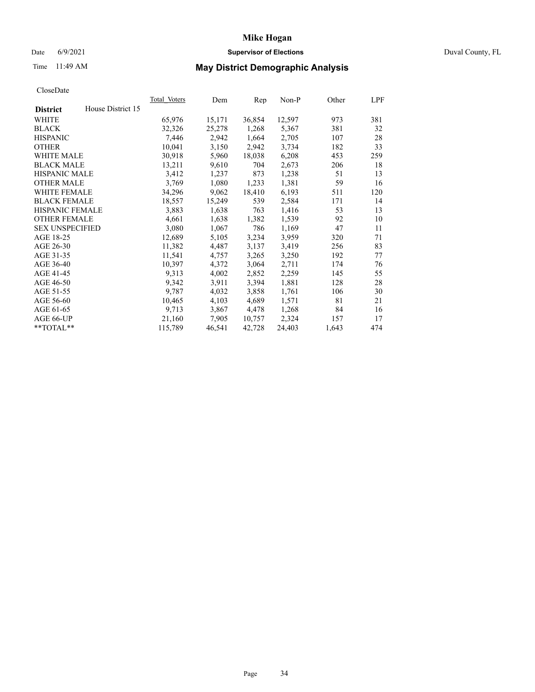### Date 6/9/2021 **Supervisor of Elections Supervisor of Elections** Duval County, FL

# Time 11:49 AM **May District Demographic Analysis**

|                        |                   | <b>Total Voters</b> | Dem    | Rep    | $Non-P$ | Other | LPF |
|------------------------|-------------------|---------------------|--------|--------|---------|-------|-----|
| <b>District</b>        | House District 15 |                     |        |        |         |       |     |
| WHITE                  |                   | 65,976              | 15,171 | 36,854 | 12,597  | 973   | 381 |
| <b>BLACK</b>           |                   | 32,326              | 25,278 | 1,268  | 5,367   | 381   | 32  |
| <b>HISPANIC</b>        |                   | 7,446               | 2,942  | 1,664  | 2,705   | 107   | 28  |
| <b>OTHER</b>           |                   | 10,041              | 3,150  | 2,942  | 3,734   | 182   | 33  |
| <b>WHITE MALE</b>      |                   | 30,918              | 5,960  | 18,038 | 6,208   | 453   | 259 |
| <b>BLACK MALE</b>      |                   | 13,211              | 9,610  | 704    | 2,673   | 206   | 18  |
| <b>HISPANIC MALE</b>   |                   | 3,412               | 1,237  | 873    | 1,238   | 51    | 13  |
| <b>OTHER MALE</b>      |                   | 3,769               | 1,080  | 1,233  | 1,381   | 59    | 16  |
| <b>WHITE FEMALE</b>    |                   | 34,296              | 9,062  | 18,410 | 6,193   | 511   | 120 |
| <b>BLACK FEMALE</b>    |                   | 18,557              | 15,249 | 539    | 2,584   | 171   | 14  |
| HISPANIC FEMALE        |                   | 3,883               | 1,638  | 763    | 1,416   | 53    | 13  |
| <b>OTHER FEMALE</b>    |                   | 4,661               | 1,638  | 1,382  | 1,539   | 92    | 10  |
| <b>SEX UNSPECIFIED</b> |                   | 3,080               | 1,067  | 786    | 1,169   | 47    | 11  |
| AGE 18-25              |                   | 12,689              | 5,105  | 3,234  | 3,959   | 320   | 71  |
| AGE 26-30              |                   | 11,382              | 4,487  | 3,137  | 3,419   | 256   | 83  |
| AGE 31-35              |                   | 11,541              | 4,757  | 3,265  | 3,250   | 192   | 77  |
| AGE 36-40              |                   | 10,397              | 4,372  | 3,064  | 2,711   | 174   | 76  |
| AGE 41-45              |                   | 9,313               | 4,002  | 2,852  | 2,259   | 145   | 55  |
| AGE 46-50              |                   | 9,342               | 3,911  | 3,394  | 1,881   | 128   | 28  |
| AGE 51-55              |                   | 9,787               | 4,032  | 3,858  | 1,761   | 106   | 30  |
| AGE 56-60              |                   | 10,465              | 4,103  | 4,689  | 1,571   | 81    | 21  |
| AGE 61-65              |                   | 9,713               | 3,867  | 4,478  | 1,268   | 84    | 16  |
| AGE 66-UP              |                   | 21,160              | 7,905  | 10,757 | 2,324   | 157   | 17  |
| $*$ $TOTAL**$          |                   | 115,789             | 46,541 | 42,728 | 24,403  | 1,643 | 474 |
|                        |                   |                     |        |        |         |       |     |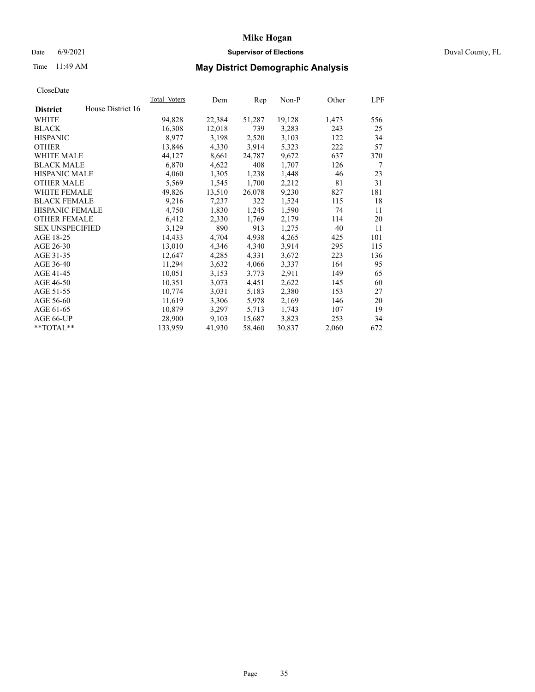## Date 6/9/2021 **Supervisor of Elections** Duval County, FL

# Time 11:49 AM **May District Demographic Analysis**

|                        |                   | Total Voters | Dem    | Rep    | Non-P  | Other | LPF |
|------------------------|-------------------|--------------|--------|--------|--------|-------|-----|
| <b>District</b>        | House District 16 |              |        |        |        |       |     |
| WHITE                  |                   | 94,828       | 22,384 | 51,287 | 19,128 | 1,473 | 556 |
| <b>BLACK</b>           |                   | 16,308       | 12,018 | 739    | 3,283  | 243   | 25  |
| <b>HISPANIC</b>        |                   | 8,977        | 3,198  | 2,520  | 3,103  | 122   | 34  |
| <b>OTHER</b>           |                   | 13,846       | 4,330  | 3,914  | 5,323  | 222   | 57  |
| <b>WHITE MALE</b>      |                   | 44,127       | 8,661  | 24,787 | 9,672  | 637   | 370 |
| <b>BLACK MALE</b>      |                   | 6,870        | 4,622  | 408    | 1,707  | 126   | 7   |
| <b>HISPANIC MALE</b>   |                   | 4,060        | 1,305  | 1,238  | 1,448  | 46    | 23  |
| <b>OTHER MALE</b>      |                   | 5,569        | 1,545  | 1,700  | 2,212  | 81    | 31  |
| <b>WHITE FEMALE</b>    |                   | 49,826       | 13,510 | 26,078 | 9,230  | 827   | 181 |
| <b>BLACK FEMALE</b>    |                   | 9,216        | 7,237  | 322    | 1,524  | 115   | 18  |
| <b>HISPANIC FEMALE</b> |                   | 4,750        | 1,830  | 1,245  | 1,590  | 74    | 11  |
| <b>OTHER FEMALE</b>    |                   | 6,412        | 2,330  | 1,769  | 2,179  | 114   | 20  |
| <b>SEX UNSPECIFIED</b> |                   | 3,129        | 890    | 913    | 1,275  | 40    | 11  |
| AGE 18-25              |                   | 14,433       | 4,704  | 4,938  | 4,265  | 425   | 101 |
| AGE 26-30              |                   | 13,010       | 4,346  | 4,340  | 3,914  | 295   | 115 |
| AGE 31-35              |                   | 12,647       | 4,285  | 4,331  | 3,672  | 223   | 136 |
| AGE 36-40              |                   | 11,294       | 3,632  | 4,066  | 3,337  | 164   | 95  |
| AGE 41-45              |                   | 10,051       | 3,153  | 3,773  | 2,911  | 149   | 65  |
| AGE 46-50              |                   | 10,351       | 3,073  | 4,451  | 2,622  | 145   | 60  |
| AGE 51-55              |                   | 10,774       | 3,031  | 5,183  | 2,380  | 153   | 27  |
| AGE 56-60              |                   | 11,619       | 3,306  | 5,978  | 2,169  | 146   | 20  |
| AGE 61-65              |                   | 10,879       | 3,297  | 5,713  | 1,743  | 107   | 19  |
| AGE 66-UP              |                   | 28,900       | 9,103  | 15,687 | 3,823  | 253   | 34  |
| $*$ TOTAL $*$          |                   | 133,959      | 41,930 | 58,460 | 30,837 | 2,060 | 672 |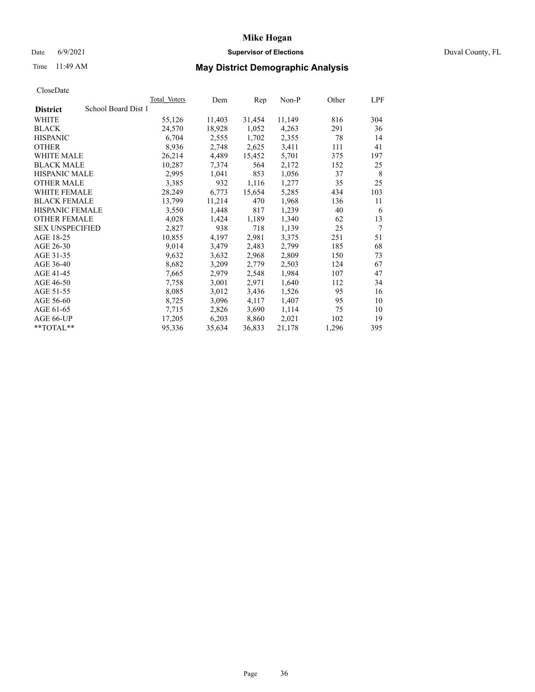## Date 6/9/2021 **Supervisor of Elections** Duval County, FL

# Time 11:49 AM **May District Demographic Analysis**

|                                        | Total Voters | Dem    | Rep    | Non-P  | Other | LPF |
|----------------------------------------|--------------|--------|--------|--------|-------|-----|
| School Board Dist 1<br><b>District</b> |              |        |        |        |       |     |
| WHITE                                  | 55,126       | 11,403 | 31,454 | 11,149 | 816   | 304 |
| <b>BLACK</b>                           | 24,570       | 18,928 | 1,052  | 4,263  | 291   | 36  |
| <b>HISPANIC</b>                        | 6,704        | 2,555  | 1,702  | 2,355  | 78    | 14  |
| <b>OTHER</b>                           | 8,936        | 2,748  | 2,625  | 3,411  | 111   | 41  |
| <b>WHITE MALE</b>                      | 26,214       | 4,489  | 15,452 | 5,701  | 375   | 197 |
| <b>BLACK MALE</b>                      | 10,287       | 7,374  | 564    | 2,172  | 152   | 25  |
| <b>HISPANIC MALE</b>                   | 2,995        | 1,041  | 853    | 1,056  | 37    | 8   |
| <b>OTHER MALE</b>                      | 3,385        | 932    | 1,116  | 1,277  | 35    | 25  |
| <b>WHITE FEMALE</b>                    | 28,249       | 6,773  | 15,654 | 5,285  | 434   | 103 |
| <b>BLACK FEMALE</b>                    | 13,799       | 11,214 | 470    | 1,968  | 136   | 11  |
| <b>HISPANIC FEMALE</b>                 | 3,550        | 1,448  | 817    | 1,239  | 40    | 6   |
| <b>OTHER FEMALE</b>                    | 4,028        | 1,424  | 1,189  | 1,340  | 62    | 13  |
| <b>SEX UNSPECIFIED</b>                 | 2,827        | 938    | 718    | 1,139  | 25    | 7   |
| AGE 18-25                              | 10,855       | 4,197  | 2,981  | 3,375  | 251   | 51  |
| AGE 26-30                              | 9,014        | 3,479  | 2,483  | 2,799  | 185   | 68  |
| AGE 31-35                              | 9,632        | 3,632  | 2,968  | 2,809  | 150   | 73  |
| AGE 36-40                              | 8,682        | 3,209  | 2,779  | 2,503  | 124   | 67  |
| AGE 41-45                              | 7,665        | 2,979  | 2,548  | 1,984  | 107   | 47  |
| AGE 46-50                              | 7,758        | 3,001  | 2,971  | 1,640  | 112   | 34  |
| AGE 51-55                              | 8,085        | 3,012  | 3,436  | 1,526  | 95    | 16  |
| AGE 56-60                              | 8,725        | 3,096  | 4,117  | 1,407  | 95    | 10  |
| AGE 61-65                              | 7,715        | 2,826  | 3,690  | 1,114  | 75    | 10  |
| AGE 66-UP                              | 17,205       | 6,203  | 8,860  | 2,021  | 102   | 19  |
| $*$ TOTAL $*$                          | 95,336       | 35,634 | 36,833 | 21,178 | 1,296 | 395 |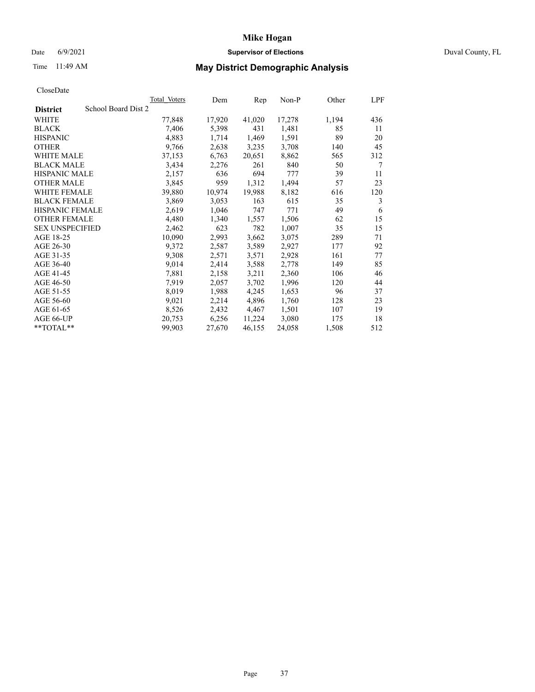### Date 6/9/2021 **Supervisor of Elections Supervisor of Elections** Duval County, FL

# Time 11:49 AM **May District Demographic Analysis**

|                                        | Total Voters | Dem    | Rep    | $Non-P$ | Other | LPF |
|----------------------------------------|--------------|--------|--------|---------|-------|-----|
| School Board Dist 2<br><b>District</b> |              |        |        |         |       |     |
| WHITE                                  | 77,848       | 17,920 | 41,020 | 17,278  | 1,194 | 436 |
| <b>BLACK</b>                           | 7,406        | 5,398  | 431    | 1,481   | 85    | 11  |
| <b>HISPANIC</b>                        | 4,883        | 1,714  | 1,469  | 1,591   | 89    | 20  |
| <b>OTHER</b>                           | 9,766        | 2,638  | 3,235  | 3,708   | 140   | 45  |
| <b>WHITE MALE</b>                      | 37,153       | 6,763  | 20,651 | 8,862   | 565   | 312 |
| <b>BLACK MALE</b>                      | 3,434        | 2,276  | 261    | 840     | 50    | 7   |
| <b>HISPANIC MALE</b>                   | 2,157        | 636    | 694    | 777     | 39    | 11  |
| <b>OTHER MALE</b>                      | 3,845        | 959    | 1,312  | 1,494   | 57    | 23  |
| <b>WHITE FEMALE</b>                    | 39,880       | 10,974 | 19,988 | 8,182   | 616   | 120 |
| <b>BLACK FEMALE</b>                    | 3,869        | 3,053  | 163    | 615     | 35    | 3   |
| HISPANIC FEMALE                        | 2,619        | 1,046  | 747    | 771     | 49    | 6   |
| <b>OTHER FEMALE</b>                    | 4,480        | 1,340  | 1,557  | 1,506   | 62    | 15  |
| <b>SEX UNSPECIFIED</b>                 | 2,462        | 623    | 782    | 1,007   | 35    | 15  |
| AGE 18-25                              | 10,090       | 2,993  | 3,662  | 3,075   | 289   | 71  |
| AGE 26-30                              | 9,372        | 2,587  | 3,589  | 2,927   | 177   | 92  |
| AGE 31-35                              | 9,308        | 2,571  | 3,571  | 2,928   | 161   | 77  |
| AGE 36-40                              | 9,014        | 2,414  | 3,588  | 2,778   | 149   | 85  |
| AGE 41-45                              | 7,881        | 2,158  | 3,211  | 2,360   | 106   | 46  |
| AGE 46-50                              | 7,919        | 2,057  | 3,702  | 1,996   | 120   | 44  |
| AGE 51-55                              | 8,019        | 1,988  | 4,245  | 1,653   | 96    | 37  |
| AGE 56-60                              | 9,021        | 2,214  | 4,896  | 1,760   | 128   | 23  |
| AGE 61-65                              | 8,526        | 2,432  | 4,467  | 1,501   | 107   | 19  |
| AGE 66-UP                              | 20,753       | 6,256  | 11,224 | 3,080   | 175   | 18  |
| **TOTAL**                              | 99,903       | 27,670 | 46,155 | 24,058  | 1,508 | 512 |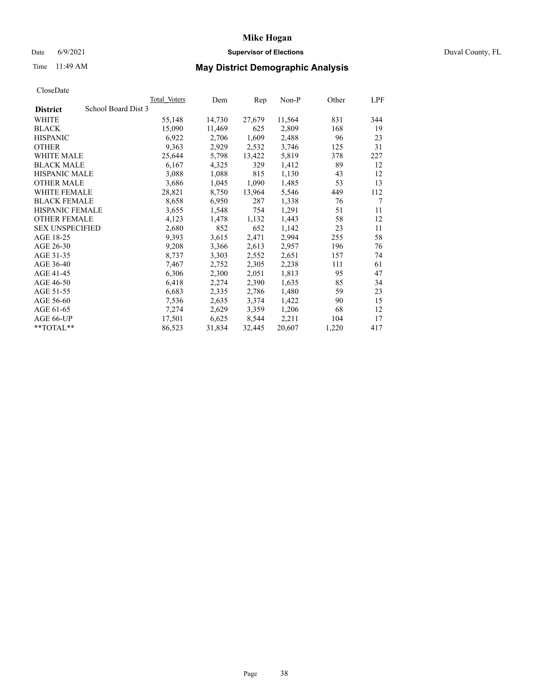### Date 6/9/2021 **Supervisor of Elections Supervisor of Elections** Duval County, FL

# Time 11:49 AM **May District Demographic Analysis**

| Total Voters | Dem                 | Rep    | Non-P  | Other | LPF |
|--------------|---------------------|--------|--------|-------|-----|
|              |                     |        |        |       |     |
| 55,148       | 14,730              | 27,679 | 11,564 | 831   | 344 |
| 15,090       | 11,469              | 625    | 2,809  | 168   | 19  |
| 6,922        | 2,706               | 1,609  | 2,488  | 96    | 23  |
| 9,363        | 2,929               | 2,532  | 3,746  | 125   | 31  |
| 25,644       | 5,798               | 13,422 | 5,819  | 378   | 227 |
| 6,167        | 4,325               | 329    | 1,412  | 89    | 12  |
| 3,088        | 1,088               | 815    | 1,130  | 43    | 12  |
| 3,686        | 1,045               | 1,090  | 1,485  | 53    | 13  |
| 28,821       | 8,750               | 13,964 | 5,546  | 449   | 112 |
| 8,658        | 6,950               | 287    | 1,338  | 76    | 7   |
| 3,655        | 1,548               | 754    | 1,291  | 51    | 11  |
| 4,123        | 1,478               | 1,132  | 1,443  | 58    | 12  |
| 2,680        | 852                 | 652    | 1,142  | 23    | 11  |
| 9,393        | 3,615               | 2,471  | 2,994  | 255   | 58  |
| 9,208        | 3,366               | 2,613  | 2,957  | 196   | 76  |
| 8,737        | 3,303               | 2,552  | 2,651  | 157   | 74  |
| 7,467        | 2,752               | 2,305  | 2,238  | 111   | 61  |
| 6,306        | 2,300               | 2,051  | 1,813  | 95    | 47  |
| 6,418        | 2,274               | 2,390  | 1,635  | 85    | 34  |
| 6,683        | 2,335               | 2,786  | 1,480  | 59    | 23  |
| 7,536        | 2,635               | 3,374  | 1,422  | 90    | 15  |
| 7,274        | 2,629               | 3,359  | 1,206  | 68    | 12  |
| 17,501       | 6,625               | 8,544  | 2,211  | 104   | 17  |
| 86,523       | 31,834              | 32,445 | 20,607 | 1,220 | 417 |
|              | School Board Dist 3 |        |        |       |     |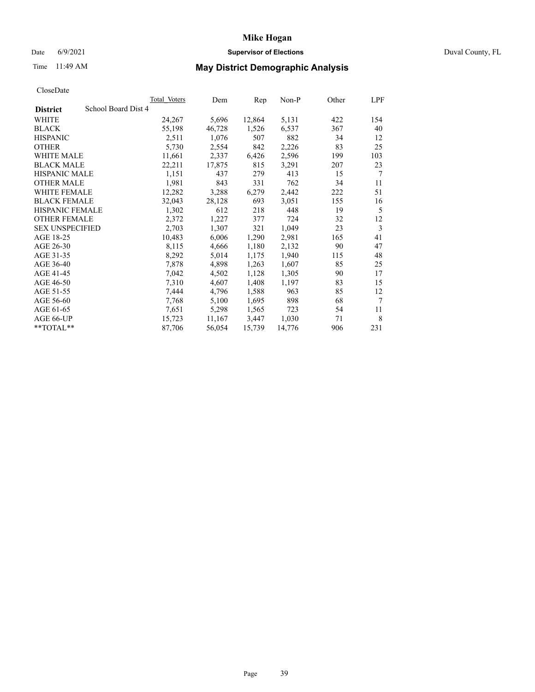## Date 6/9/2021 **Supervisor of Elections** Duval County, FL

# Time 11:49 AM **May District Demographic Analysis**

|                                        | <b>Total Voters</b> | Dem    | Rep    | $Non-P$ | Other | LPF |
|----------------------------------------|---------------------|--------|--------|---------|-------|-----|
| School Board Dist 4<br><b>District</b> |                     |        |        |         |       |     |
| WHITE                                  | 24,267              | 5,696  | 12,864 | 5,131   | 422   | 154 |
| <b>BLACK</b>                           | 55,198              | 46,728 | 1,526  | 6,537   | 367   | 40  |
| <b>HISPANIC</b>                        | 2,511               | 1,076  | 507    | 882     | 34    | 12  |
| <b>OTHER</b>                           | 5,730               | 2,554  | 842    | 2,226   | 83    | 25  |
| WHITE MALE                             | 11,661              | 2,337  | 6,426  | 2,596   | 199   | 103 |
| <b>BLACK MALE</b>                      | 22,211              | 17,875 | 815    | 3,291   | 207   | 23  |
| <b>HISPANIC MALE</b>                   | 1,151               | 437    | 279    | 413     | 15    | 7   |
| <b>OTHER MALE</b>                      | 1,981               | 843    | 331    | 762     | 34    | 11  |
| <b>WHITE FEMALE</b>                    | 12,282              | 3,288  | 6,279  | 2,442   | 222   | 51  |
| <b>BLACK FEMALE</b>                    | 32,043              | 28,128 | 693    | 3,051   | 155   | 16  |
| HISPANIC FEMALE                        | 1,302               | 612    | 218    | 448     | 19    | 5   |
| <b>OTHER FEMALE</b>                    | 2,372               | 1,227  | 377    | 724     | 32    | 12  |
| <b>SEX UNSPECIFIED</b>                 | 2,703               | 1,307  | 321    | 1,049   | 23    | 3   |
| AGE 18-25                              | 10,483              | 6,006  | 1,290  | 2,981   | 165   | 41  |
| AGE 26-30                              | 8,115               | 4,666  | 1,180  | 2,132   | 90    | 47  |
| AGE 31-35                              | 8,292               | 5,014  | 1,175  | 1,940   | 115   | 48  |
| AGE 36-40                              | 7,878               | 4,898  | 1,263  | 1,607   | 85    | 25  |
| AGE 41-45                              | 7,042               | 4,502  | 1,128  | 1,305   | 90    | 17  |
| AGE 46-50                              | 7,310               | 4,607  | 1,408  | 1,197   | 83    | 15  |
| AGE 51-55                              | 7,444               | 4,796  | 1,588  | 963     | 85    | 12  |
| AGE 56-60                              | 7,768               | 5,100  | 1,695  | 898     | 68    | 7   |
| AGE 61-65                              | 7,651               | 5,298  | 1,565  | 723     | 54    | 11  |
| AGE 66-UP                              | 15,723              | 11,167 | 3,447  | 1,030   | 71    | 8   |
| $*$ $TOTAL**$                          | 87,706              | 56,054 | 15,739 | 14,776  | 906   | 231 |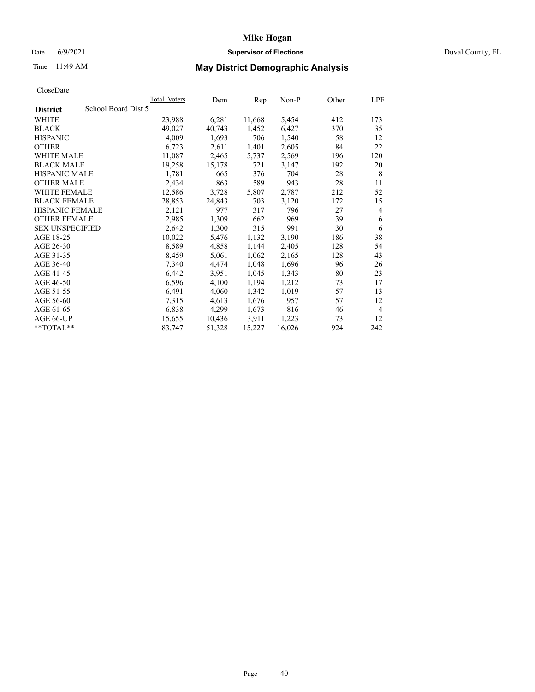### Date 6/9/2021 **Supervisor of Elections Supervisor of Elections** Duval County, FL

# Time 11:49 AM **May District Demographic Analysis**

|                                        | <b>Total Voters</b> | Dem    | Rep    | $Non-P$ | Other | LPF            |
|----------------------------------------|---------------------|--------|--------|---------|-------|----------------|
| School Board Dist 5<br><b>District</b> |                     |        |        |         |       |                |
| WHITE                                  | 23,988              | 6,281  | 11,668 | 5,454   | 412   | 173            |
| <b>BLACK</b>                           | 49,027              | 40,743 | 1,452  | 6,427   | 370   | 35             |
| <b>HISPANIC</b>                        | 4,009               | 1,693  | 706    | 1,540   | 58    | 12             |
| <b>OTHER</b>                           | 6,723               | 2,611  | 1,401  | 2,605   | 84    | 22             |
| <b>WHITE MALE</b>                      | 11,087              | 2,465  | 5,737  | 2,569   | 196   | 120            |
| <b>BLACK MALE</b>                      | 19,258              | 15,178 | 721    | 3,147   | 192   | 20             |
| <b>HISPANIC MALE</b>                   | 1,781               | 665    | 376    | 704     | 28    | 8              |
| <b>OTHER MALE</b>                      | 2,434               | 863    | 589    | 943     | 28    | 11             |
| WHITE FEMALE                           | 12,586              | 3,728  | 5,807  | 2,787   | 212   | 52             |
| <b>BLACK FEMALE</b>                    | 28,853              | 24,843 | 703    | 3,120   | 172   | 15             |
| HISPANIC FEMALE                        | 2,121               | 977    | 317    | 796     | 27    | $\overline{4}$ |
| <b>OTHER FEMALE</b>                    | 2,985               | 1,309  | 662    | 969     | 39    | 6              |
| <b>SEX UNSPECIFIED</b>                 | 2,642               | 1,300  | 315    | 991     | 30    | 6              |
| AGE 18-25                              | 10,022              | 5,476  | 1,132  | 3,190   | 186   | 38             |
| AGE 26-30                              | 8,589               | 4,858  | 1,144  | 2,405   | 128   | 54             |
| AGE 31-35                              | 8,459               | 5,061  | 1,062  | 2,165   | 128   | 43             |
| AGE 36-40                              | 7,340               | 4,474  | 1,048  | 1,696   | 96    | 26             |
| AGE 41-45                              | 6,442               | 3,951  | 1,045  | 1,343   | 80    | 23             |
| AGE 46-50                              | 6,596               | 4,100  | 1,194  | 1,212   | 73    | 17             |
| AGE 51-55                              | 6,491               | 4,060  | 1,342  | 1,019   | 57    | 13             |
| AGE 56-60                              | 7,315               | 4,613  | 1,676  | 957     | 57    | 12             |
| AGE 61-65                              | 6,838               | 4,299  | 1,673  | 816     | 46    | $\overline{4}$ |
| AGE 66-UP                              | 15,655              | 10,436 | 3,911  | 1,223   | 73    | 12             |
| **TOTAL**                              | 83,747              | 51,328 | 15,227 | 16,026  | 924   | 242            |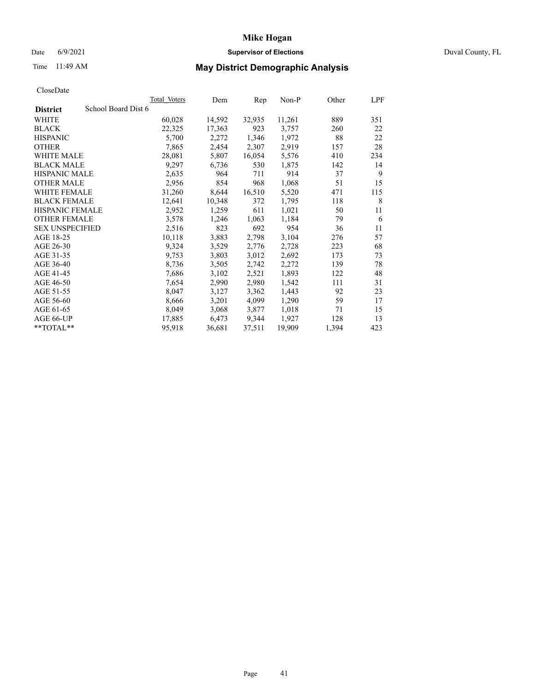### Date 6/9/2021 **Supervisor of Elections Supervisor of Elections** Duval County, FL

# Time 11:49 AM **May District Demographic Analysis**

|                                        | Total Voters | Dem    | Rep    | $Non-P$ | Other | LPF |
|----------------------------------------|--------------|--------|--------|---------|-------|-----|
| School Board Dist 6<br><b>District</b> |              |        |        |         |       |     |
| WHITE                                  | 60,028       | 14,592 | 32,935 | 11,261  | 889   | 351 |
| <b>BLACK</b>                           | 22,325       | 17,363 | 923    | 3,757   | 260   | 22  |
| <b>HISPANIC</b>                        | 5,700        | 2,272  | 1,346  | 1,972   | 88    | 22  |
| <b>OTHER</b>                           | 7,865        | 2,454  | 2,307  | 2,919   | 157   | 28  |
| <b>WHITE MALE</b>                      | 28,081       | 5,807  | 16,054 | 5,576   | 410   | 234 |
| <b>BLACK MALE</b>                      | 9,297        | 6,736  | 530    | 1,875   | 142   | 14  |
| <b>HISPANIC MALE</b>                   | 2,635        | 964    | 711    | 914     | 37    | 9   |
| <b>OTHER MALE</b>                      | 2,956        | 854    | 968    | 1,068   | 51    | 15  |
| WHITE FEMALE                           | 31,260       | 8,644  | 16,510 | 5,520   | 471   | 115 |
| <b>BLACK FEMALE</b>                    | 12,641       | 10,348 | 372    | 1,795   | 118   | 8   |
| HISPANIC FEMALE                        | 2,952        | 1,259  | 611    | 1,021   | 50    | 11  |
| <b>OTHER FEMALE</b>                    | 3,578        | 1,246  | 1,063  | 1,184   | 79    | 6   |
| <b>SEX UNSPECIFIED</b>                 | 2,516        | 823    | 692    | 954     | 36    | 11  |
| AGE 18-25                              | 10,118       | 3,883  | 2,798  | 3,104   | 276   | 57  |
| AGE 26-30                              | 9,324        | 3,529  | 2,776  | 2,728   | 223   | 68  |
| AGE 31-35                              | 9,753        | 3,803  | 3,012  | 2,692   | 173   | 73  |
| AGE 36-40                              | 8,736        | 3,505  | 2,742  | 2,272   | 139   | 78  |
| AGE 41-45                              | 7,686        | 3,102  | 2,521  | 1,893   | 122   | 48  |
| AGE 46-50                              | 7,654        | 2,990  | 2,980  | 1,542   | 111   | 31  |
| AGE 51-55                              | 8,047        | 3,127  | 3,362  | 1,443   | 92    | 23  |
| AGE 56-60                              | 8,666        | 3,201  | 4,099  | 1,290   | 59    | 17  |
| AGE 61-65                              | 8,049        | 3,068  | 3,877  | 1,018   | 71    | 15  |
| AGE 66-UP                              | 17,885       | 6,473  | 9,344  | 1,927   | 128   | 13  |
| **TOTAL**                              | 95,918       | 36,681 | 37,511 | 19,909  | 1,394 | 423 |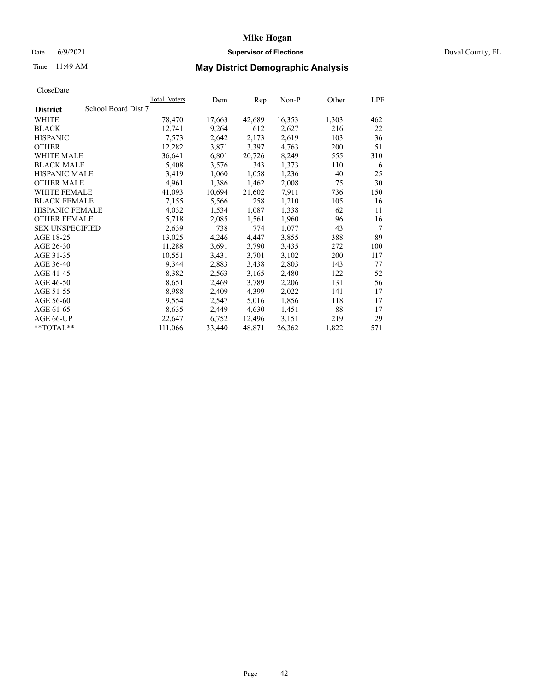## Date 6/9/2021 **Supervisor of Elections** Duval County, FL

# Time 11:49 AM **May District Demographic Analysis**

|                        | Total Voters        | Dem    | Rep    | Non-P  | Other | LPF |
|------------------------|---------------------|--------|--------|--------|-------|-----|
| <b>District</b>        | School Board Dist 7 |        |        |        |       |     |
| WHITE                  | 78,470              | 17,663 | 42,689 | 16,353 | 1,303 | 462 |
| <b>BLACK</b>           | 12,741              | 9,264  | 612    | 2,627  | 216   | 22  |
| <b>HISPANIC</b>        | 7,573               | 2,642  | 2,173  | 2,619  | 103   | 36  |
| <b>OTHER</b>           | 12,282              | 3,871  | 3,397  | 4,763  | 200   | 51  |
| <b>WHITE MALE</b>      | 36,641              | 6,801  | 20,726 | 8,249  | 555   | 310 |
| <b>BLACK MALE</b>      | 5,408               | 3,576  | 343    | 1,373  | 110   | 6   |
| <b>HISPANIC MALE</b>   | 3,419               | 1,060  | 1,058  | 1,236  | 40    | 25  |
| <b>OTHER MALE</b>      | 4,961               | 1,386  | 1,462  | 2,008  | 75    | 30  |
| <b>WHITE FEMALE</b>    | 41,093              | 10,694 | 21,602 | 7,911  | 736   | 150 |
| <b>BLACK FEMALE</b>    | 7,155               | 5,566  | 258    | 1,210  | 105   | 16  |
| <b>HISPANIC FEMALE</b> | 4,032               | 1,534  | 1,087  | 1,338  | 62    | 11  |
| <b>OTHER FEMALE</b>    | 5,718               | 2,085  | 1,561  | 1,960  | 96    | 16  |
| <b>SEX UNSPECIFIED</b> | 2,639               | 738    | 774    | 1,077  | 43    | 7   |
| AGE 18-25              | 13,025              | 4,246  | 4,447  | 3,855  | 388   | 89  |
| AGE 26-30              | 11,288              | 3,691  | 3,790  | 3,435  | 272   | 100 |
| AGE 31-35              | 10,551              | 3,431  | 3,701  | 3,102  | 200   | 117 |
| AGE 36-40              | 9,344               | 2,883  | 3,438  | 2,803  | 143   | 77  |
| AGE 41-45              | 8,382               | 2,563  | 3,165  | 2,480  | 122   | 52  |
| AGE 46-50              | 8,651               | 2,469  | 3,789  | 2,206  | 131   | 56  |
| AGE 51-55              | 8,988               | 2,409  | 4,399  | 2,022  | 141   | 17  |
| AGE 56-60              | 9,554               | 2,547  | 5,016  | 1,856  | 118   | 17  |
| AGE 61-65              | 8,635               | 2,449  | 4,630  | 1,451  | 88    | 17  |
| AGE 66-UP              | 22,647              | 6,752  | 12,496 | 3,151  | 219   | 29  |
| $*$ TOTAL $*$          | 111,066             | 33,440 | 48,871 | 26,362 | 1,822 | 571 |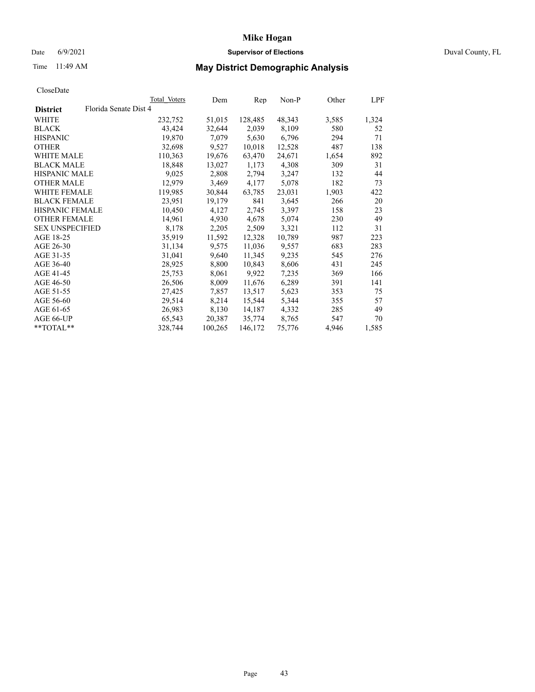### Date 6/9/2021 **Supervisor of Elections Supervisor of Elections** Duval County, FL

# Time 11:49 AM **May District Demographic Analysis**

|                        |                       | <b>Total Voters</b> | Dem     | Rep     | $Non-P$ | Other | LPF   |
|------------------------|-----------------------|---------------------|---------|---------|---------|-------|-------|
| <b>District</b>        | Florida Senate Dist 4 |                     |         |         |         |       |       |
| WHITE                  |                       | 232,752             | 51,015  | 128,485 | 48,343  | 3,585 | 1,324 |
| <b>BLACK</b>           |                       | 43,424              | 32,644  | 2,039   | 8,109   | 580   | 52    |
| <b>HISPANIC</b>        |                       | 19,870              | 7,079   | 5,630   | 6,796   | 294   | 71    |
| <b>OTHER</b>           |                       | 32,698              | 9,527   | 10,018  | 12,528  | 487   | 138   |
| <b>WHITE MALE</b>      |                       | 110,363             | 19,676  | 63,470  | 24,671  | 1,654 | 892   |
| <b>BLACK MALE</b>      |                       | 18,848              | 13,027  | 1,173   | 4,308   | 309   | 31    |
| <b>HISPANIC MALE</b>   |                       | 9,025               | 2,808   | 2,794   | 3,247   | 132   | 44    |
| <b>OTHER MALE</b>      |                       | 12,979              | 3,469   | 4,177   | 5,078   | 182   | 73    |
| <b>WHITE FEMALE</b>    |                       | 119,985             | 30,844  | 63,785  | 23,031  | 1,903 | 422   |
| <b>BLACK FEMALE</b>    |                       | 23,951              | 19,179  | 841     | 3,645   | 266   | 20    |
| HISPANIC FEMALE        |                       | 10,450              | 4,127   | 2,745   | 3,397   | 158   | 23    |
| <b>OTHER FEMALE</b>    |                       | 14,961              | 4,930   | 4,678   | 5,074   | 230   | 49    |
| <b>SEX UNSPECIFIED</b> |                       | 8,178               | 2,205   | 2,509   | 3,321   | 112   | 31    |
| AGE 18-25              |                       | 35,919              | 11,592  | 12,328  | 10,789  | 987   | 223   |
| AGE 26-30              |                       | 31,134              | 9,575   | 11,036  | 9,557   | 683   | 283   |
| AGE 31-35              |                       | 31,041              | 9,640   | 11,345  | 9,235   | 545   | 276   |
| AGE 36-40              |                       | 28,925              | 8,800   | 10,843  | 8,606   | 431   | 245   |
| AGE 41-45              |                       | 25,753              | 8,061   | 9,922   | 7,235   | 369   | 166   |
| AGE 46-50              |                       | 26,506              | 8,009   | 11,676  | 6,289   | 391   | 141   |
| AGE 51-55              |                       | 27,425              | 7,857   | 13,517  | 5,623   | 353   | 75    |
| AGE 56-60              |                       | 29,514              | 8,214   | 15,544  | 5,344   | 355   | 57    |
| AGE 61-65              |                       | 26,983              | 8,130   | 14,187  | 4,332   | 285   | 49    |
| AGE 66-UP              |                       | 65,543              | 20,387  | 35,774  | 8,765   | 547   | 70    |
| **TOTAL**              |                       | 328,744             | 100,265 | 146,172 | 75,776  | 4,946 | 1,585 |
|                        |                       |                     |         |         |         |       |       |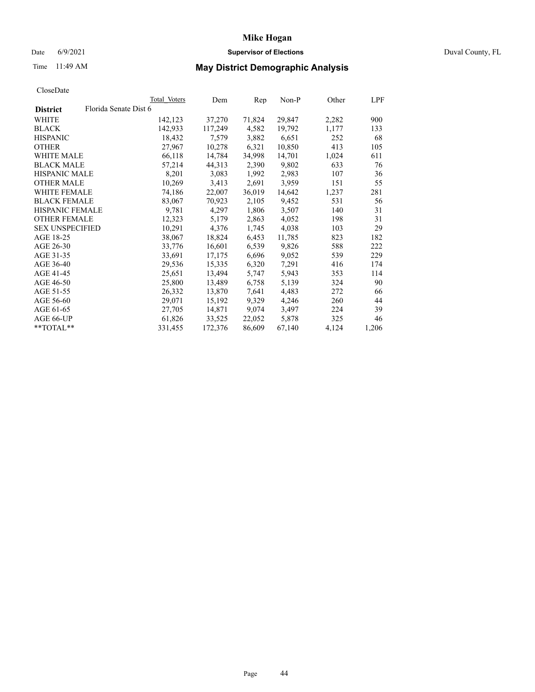## Date 6/9/2021 **Supervisor of Elections** Duval County, FL

# Time 11:49 AM **May District Demographic Analysis**

|                        |                       | Total Voters | Dem     | Rep    | Non-P  | Other | LPF   |
|------------------------|-----------------------|--------------|---------|--------|--------|-------|-------|
| <b>District</b>        | Florida Senate Dist 6 |              |         |        |        |       |       |
| WHITE                  |                       | 142,123      | 37,270  | 71,824 | 29,847 | 2,282 | 900   |
| <b>BLACK</b>           |                       | 142,933      | 117,249 | 4,582  | 19,792 | 1,177 | 133   |
| <b>HISPANIC</b>        |                       | 18,432       | 7,579   | 3,882  | 6,651  | 252   | 68    |
| <b>OTHER</b>           |                       | 27,967       | 10,278  | 6,321  | 10,850 | 413   | 105   |
| <b>WHITE MALE</b>      |                       | 66,118       | 14,784  | 34,998 | 14,701 | 1,024 | 611   |
| <b>BLACK MALE</b>      |                       | 57,214       | 44,313  | 2,390  | 9,802  | 633   | 76    |
| <b>HISPANIC MALE</b>   |                       | 8,201        | 3,083   | 1,992  | 2,983  | 107   | 36    |
| <b>OTHER MALE</b>      |                       | 10,269       | 3,413   | 2,691  | 3,959  | 151   | 55    |
| <b>WHITE FEMALE</b>    |                       | 74,186       | 22,007  | 36,019 | 14,642 | 1,237 | 281   |
| <b>BLACK FEMALE</b>    |                       | 83,067       | 70,923  | 2,105  | 9,452  | 531   | 56    |
| HISPANIC FEMALE        |                       | 9,781        | 4,297   | 1,806  | 3,507  | 140   | 31    |
| <b>OTHER FEMALE</b>    |                       | 12,323       | 5,179   | 2,863  | 4,052  | 198   | 31    |
| <b>SEX UNSPECIFIED</b> |                       | 10,291       | 4,376   | 1,745  | 4,038  | 103   | 29    |
| AGE 18-25              |                       | 38,067       | 18,824  | 6,453  | 11,785 | 823   | 182   |
| AGE 26-30              |                       | 33,776       | 16,601  | 6,539  | 9,826  | 588   | 222   |
| AGE 31-35              |                       | 33,691       | 17,175  | 6,696  | 9,052  | 539   | 229   |
| AGE 36-40              |                       | 29,536       | 15,335  | 6,320  | 7,291  | 416   | 174   |
| AGE 41-45              |                       | 25,651       | 13,494  | 5,747  | 5,943  | 353   | 114   |
| AGE 46-50              |                       | 25,800       | 13,489  | 6,758  | 5,139  | 324   | 90    |
| AGE 51-55              |                       | 26,332       | 13,870  | 7,641  | 4,483  | 272   | 66    |
| AGE 56-60              |                       | 29,071       | 15,192  | 9,329  | 4,246  | 260   | 44    |
| AGE 61-65              |                       | 27,705       | 14,871  | 9,074  | 3,497  | 224   | 39    |
| AGE 66-UP              |                       | 61,826       | 33,525  | 22,052 | 5,878  | 325   | 46    |
| $*$ TOTAL $*$          |                       | 331,455      | 172,376 | 86,609 | 67,140 | 4,124 | 1,206 |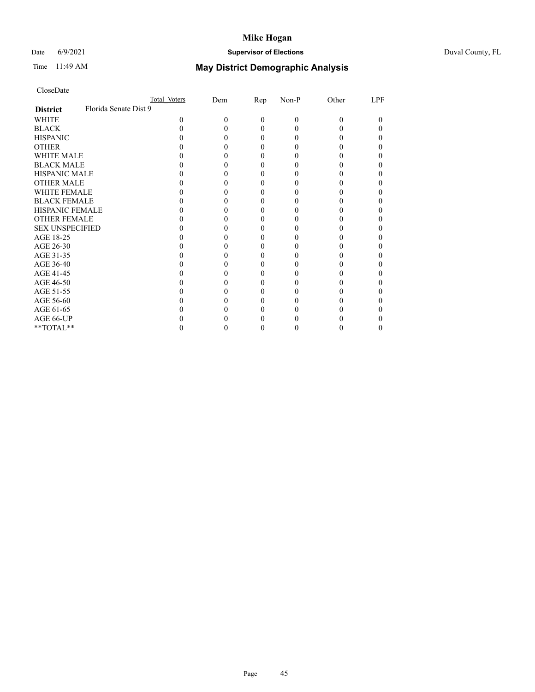## Date 6/9/2021 **Supervisor of Elections** Duval County, FL

# Time 11:49 AM **May District Demographic Analysis**

|                        | Total Voters          | Dem | <u>Rep</u> | Non-P | Other | LPF      |
|------------------------|-----------------------|-----|------------|-------|-------|----------|
| <b>District</b>        | Florida Senate Dist 9 |     |            |       |       |          |
| WHITE                  | 0                     | 0   | 0          | 0     | 0     | $\theta$ |
| <b>BLACK</b>           |                       |     | 0          |       |       |          |
| <b>HISPANIC</b>        |                       |     | 0          |       |       | 0        |
| <b>OTHER</b>           |                       |     |            |       |       |          |
| WHITE MALE             |                       |     |            |       |       |          |
| <b>BLACK MALE</b>      |                       |     |            |       |       |          |
| <b>HISPANIC MALE</b>   |                       |     |            |       |       |          |
| <b>OTHER MALE</b>      |                       |     |            |       |       |          |
| WHITE FEMALE           |                       |     |            |       |       |          |
| <b>BLACK FEMALE</b>    |                       |     | 0          |       |       |          |
| <b>HISPANIC FEMALE</b> |                       |     |            |       |       |          |
| <b>OTHER FEMALE</b>    |                       |     |            |       |       |          |
| <b>SEX UNSPECIFIED</b> |                       |     |            |       |       |          |
| AGE 18-25              |                       |     |            |       |       |          |
| AGE 26-30              |                       |     |            |       |       |          |
| AGE 31-35              |                       |     |            |       |       |          |
| AGE 36-40              |                       |     | 0          |       |       | 0        |
| AGE 41-45              |                       |     |            |       |       |          |
| AGE 46-50              |                       |     |            |       |       |          |
| AGE 51-55              |                       |     |            |       |       |          |
| AGE 56-60              |                       |     |            |       |       |          |
| AGE 61-65              |                       |     |            |       |       |          |
| AGE 66-UP              |                       |     |            |       |       |          |
| **TOTAL**              |                       |     | 0          |       | 0     | $\theta$ |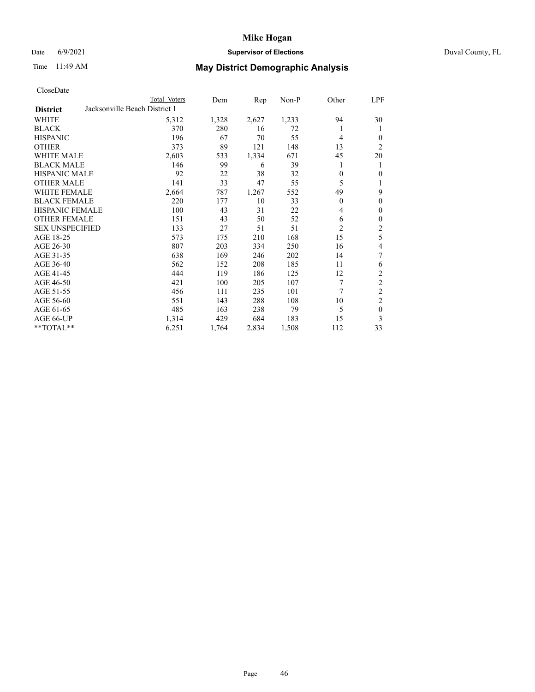## Date 6/9/2021 **Supervisor of Elections Supervisor of Elections** Duval County, FL

| CloseDate |  |
|-----------|--|
|-----------|--|

|                                                  | Total Voters | Dem   | Rep   | Non-P | Other          | LPF            |
|--------------------------------------------------|--------------|-------|-------|-------|----------------|----------------|
| Jacksonville Beach District 1<br><b>District</b> |              |       |       |       |                |                |
| WHITE                                            | 5,312        | 1,328 | 2,627 | 1,233 | 94             | 30             |
| <b>BLACK</b>                                     | 370          | 280   | 16    | 72    | 1              | 1              |
| <b>HISPANIC</b>                                  | 196          | 67    | 70    | 55    | $\overline{4}$ | $\overline{0}$ |
| <b>OTHER</b>                                     | 373          | 89    | 121   | 148   | 13             | $\overline{c}$ |
| <b>WHITE MALE</b>                                | 2,603        | 533   | 1,334 | 671   | 45             | 20             |
| <b>BLACK MALE</b>                                | 146          | 99    | 6     | 39    | 1              | 1              |
| <b>HISPANIC MALE</b>                             | 92           | 22    | 38    | 32    | $\Omega$       | 0              |
| <b>OTHER MALE</b>                                | 141          | 33    | 47    | 55    | 5              | 1              |
| WHITE FEMALE                                     | 2,664        | 787   | 1,267 | 552   | 49             | 9              |
| <b>BLACK FEMALE</b>                              | 220          | 177   | 10    | 33    | $\theta$       | $\Omega$       |
| <b>HISPANIC FEMALE</b>                           | 100          | 43    | 31    | 22    | 4              | $\overline{0}$ |
| <b>OTHER FEMALE</b>                              | 151          | 43    | 50    | 52    | 6              | 0              |
| <b>SEX UNSPECIFIED</b>                           | 133          | 27    | 51    | 51    | $\overline{2}$ | 2              |
| AGE 18-25                                        | 573          | 175   | 210   | 168   | 15             | 5              |
| AGE 26-30                                        | 807          | 203   | 334   | 250   | 16             | 4              |
| AGE 31-35                                        | 638          | 169   | 246   | 202   | 14             | 7              |
| AGE 36-40                                        | 562          | 152   | 208   | 185   | 11             | 6              |
| AGE 41-45                                        | 444          | 119   | 186   | 125   | 12             | 2              |
| AGE 46-50                                        | 421          | 100   | 205   | 107   | 7              | $\overline{c}$ |
| AGE 51-55                                        | 456          | 111   | 235   | 101   | 7              | $\overline{2}$ |
| AGE 56-60                                        | 551          | 143   | 288   | 108   | 10             | 2              |
| AGE 61-65                                        | 485          | 163   | 238   | 79    | 5              | $\theta$       |
| AGE 66-UP                                        | 1,314        | 429   | 684   | 183   | 15             | 3              |
| **TOTAL**                                        | 6,251        | 1,764 | 2,834 | 1,508 | 112            | 33             |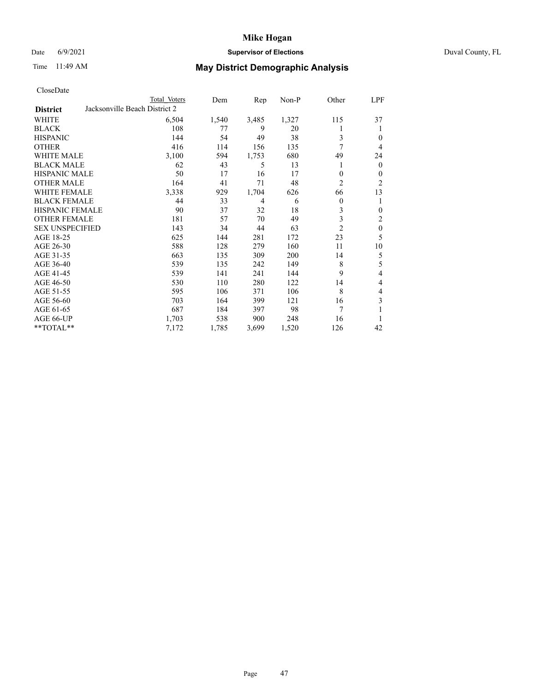## Date 6/9/2021 **Supervisor of Elections Supervisor of Elections** Duval County, FL

| CloseDate |  |
|-----------|--|
|-----------|--|

|                                                  | Total Voters | Dem   | Rep   | Non-P | Other          | LPF              |
|--------------------------------------------------|--------------|-------|-------|-------|----------------|------------------|
| Jacksonville Beach District 2<br><b>District</b> |              |       |       |       |                |                  |
| WHITE                                            | 6,504        | 1,540 | 3,485 | 1,327 | 115            | 37               |
| <b>BLACK</b>                                     | 108          | 77    | 9     | 20    |                | 1                |
| <b>HISPANIC</b>                                  | 144          | 54    | 49    | 38    | 3              | $\theta$         |
| <b>OTHER</b>                                     | 416          | 114   | 156   | 135   | 7              | $\overline{4}$   |
| <b>WHITE MALE</b>                                | 3,100        | 594   | 1,753 | 680   | 49             | 24               |
| <b>BLACK MALE</b>                                | 62           | 43    | 5     | 13    |                | $\mathbf{0}$     |
| <b>HISPANIC MALE</b>                             | 50           | 17    | 16    | 17    | 0              | $\mathbf{0}$     |
| <b>OTHER MALE</b>                                | 164          | 41    | 71    | 48    | $\overline{2}$ | $\overline{2}$   |
| <b>WHITE FEMALE</b>                              | 3,338        | 929   | 1,704 | 626   | 66             | 13               |
| <b>BLACK FEMALE</b>                              | 44           | 33    | 4     | 6     | 0              | 1                |
| <b>HISPANIC FEMALE</b>                           | 90           | 37    | 32    | 18    | 3              | $\theta$         |
| <b>OTHER FEMALE</b>                              | 181          | 57    | 70    | 49    | 3              | 2                |
| <b>SEX UNSPECIFIED</b>                           | 143          | 34    | 44    | 63    | $\overline{2}$ | $\boldsymbol{0}$ |
| AGE 18-25                                        | 625          | 144   | 281   | 172   | 23             | 5                |
| AGE 26-30                                        | 588          | 128   | 279   | 160   | 11             | 10               |
| AGE 31-35                                        | 663          | 135   | 309   | 200   | 14             | 5                |
| AGE 36-40                                        | 539          | 135   | 242   | 149   | 8              | 5                |
| AGE 41-45                                        | 539          | 141   | 241   | 144   | 9              | 4                |
| AGE 46-50                                        | 530          | 110   | 280   | 122   | 14             | 4                |
| AGE 51-55                                        | 595          | 106   | 371   | 106   | 8              | 4                |
| AGE 56-60                                        | 703          | 164   | 399   | 121   | 16             | 3                |
| AGE 61-65                                        | 687          | 184   | 397   | 98    | 7              | 1                |
| AGE 66-UP                                        | 1,703        | 538   | 900   | 248   | 16             |                  |
| **TOTAL**                                        | 7,172        | 1,785 | 3,699 | 1,520 | 126            | 42               |